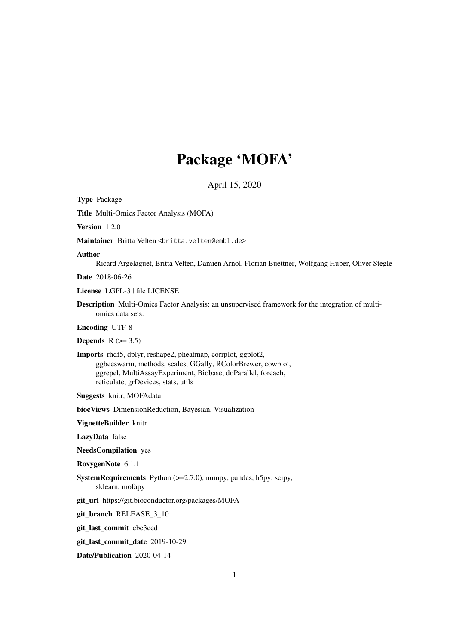# Package 'MOFA'

April 15, 2020

<span id="page-0-0"></span>Type Package Title Multi-Omics Factor Analysis (MOFA) Version 1.2.0 Maintainer Britta Velten <br />
stritta.velten@embl.de> Author Ricard Argelaguet, Britta Velten, Damien Arnol, Florian Buettner, Wolfgang Huber, Oliver Stegle Date 2018-06-26 License LGPL-3 | file LICENSE Description Multi-Omics Factor Analysis: an unsupervised framework for the integration of multiomics data sets. Encoding UTF-8 **Depends**  $R$  ( $>= 3.5$ ) Imports rhdf5, dplyr, reshape2, pheatmap, corrplot, ggplot2, ggbeeswarm, methods, scales, GGally, RColorBrewer, cowplot, ggrepel, MultiAssayExperiment, Biobase, doParallel, foreach, reticulate, grDevices, stats, utils Suggests knitr, MOFAdata biocViews DimensionReduction, Bayesian, Visualization VignetteBuilder knitr LazyData false NeedsCompilation yes RoxygenNote 6.1.1 SystemRequirements Python (>=2.7.0), numpy, pandas, h5py, scipy, sklearn, mofapy git\_url https://git.bioconductor.org/packages/MOFA git\_branch RELEASE\_3\_10 git\_last\_commit cbc3ced git\_last\_commit\_date 2019-10-29

Date/Publication 2020-04-14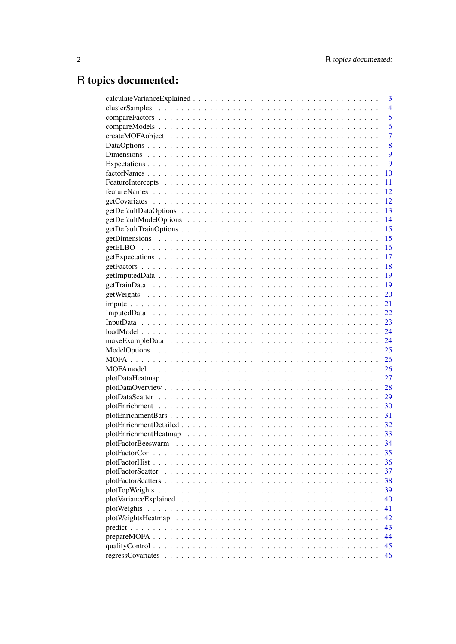# R topics documented:

|                   | 3              |
|-------------------|----------------|
|                   | $\overline{4}$ |
|                   | 5              |
|                   | 6              |
|                   | $\overline{7}$ |
|                   | 8              |
|                   | 9              |
|                   | 9              |
|                   | 10             |
|                   | 11             |
|                   | 12             |
|                   | 12             |
|                   | 13             |
|                   | 14             |
|                   | 15             |
|                   | 15             |
|                   | 16             |
|                   | 17             |
|                   | 18             |
|                   | 19             |
|                   | 19             |
|                   | 20             |
|                   | 21             |
|                   | 22             |
|                   | 23             |
|                   | 24             |
|                   | 24             |
|                   | 25             |
|                   | 26             |
|                   | 26             |
|                   | 27             |
|                   | 28             |
|                   | 29             |
|                   | 30             |
|                   | 31             |
|                   | 32             |
|                   | 33             |
|                   | 34             |
|                   | 35             |
|                   | 36             |
| plotFactorScatter | 37             |
|                   | 38             |
| plotTopWeights    | 39             |
|                   | 40             |
|                   | 41             |
|                   | 42             |
|                   | 43             |
|                   | 44             |
|                   | 45             |
|                   | 46             |
|                   |                |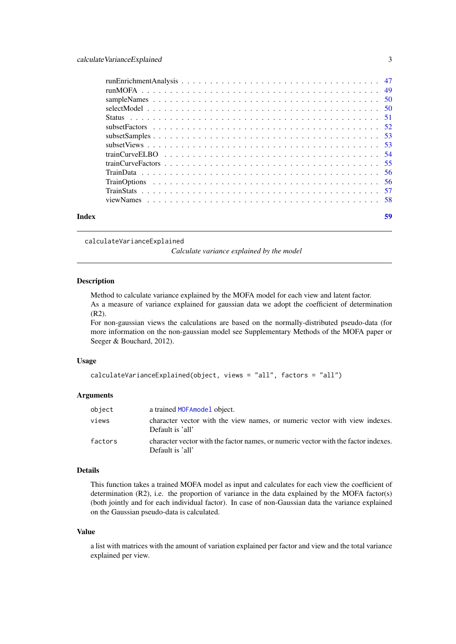<span id="page-2-0"></span>

| Index | 59 |
|-------|----|

<span id="page-2-1"></span>calculateVarianceExplained

*Calculate variance explained by the model*

# Description

Method to calculate variance explained by the MOFA model for each view and latent factor. As a measure of variance explained for gaussian data we adopt the coefficient of determination (R2).

For non-gaussian views the calculations are based on the normally-distributed pseudo-data (for more information on the non-gaussian model see Supplementary Methods of the MOFA paper or Seeger & Bouchard, 2012).

#### Usage

```
calculateVarianceExplained(object, views = "all", factors = "all")
```
#### Arguments

| object  | a trained MOFA model object.                                                                           |
|---------|--------------------------------------------------------------------------------------------------------|
| views   | character vector with the view names, or numeric vector with view indexes.<br>Default is 'all'         |
| factors | character vector with the factor names, or numeric vector with the factor indexes.<br>Default is 'all' |

#### Details

This function takes a trained MOFA model as input and calculates for each view the coefficient of determination  $(R2)$ , i.e. the proportion of variance in the data explained by the MOFA factor(s) (both jointly and for each individual factor). In case of non-Gaussian data the variance explained on the Gaussian pseudo-data is calculated.

# Value

a list with matrices with the amount of variation explained per factor and view and the total variance explained per view.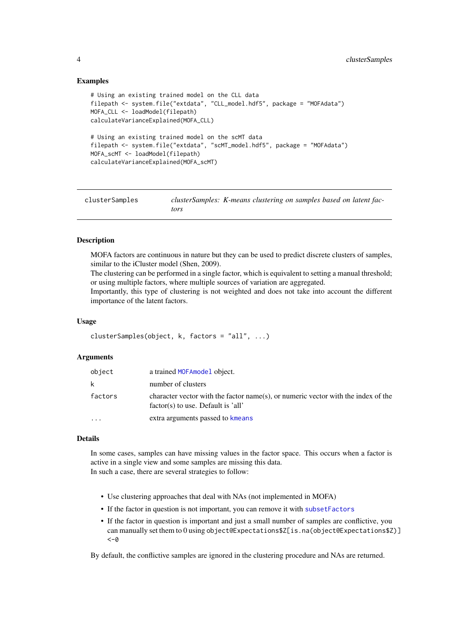#### Examples

```
# Using an existing trained model on the CLL data
filepath <- system.file("extdata", "CLL_model.hdf5", package = "MOFAdata")
MOFA_CLL <- loadModel(filepath)
calculateVarianceExplained(MOFA_CLL)
# Using an existing trained model on the scMT data
filepath <- system.file("extdata", "scMT_model.hdf5", package = "MOFAdata")
MOFA_scMT <- loadModel(filepath)
calculateVarianceExplained(MOFA_scMT)
```

| clusterSamples | clusterSamples: K-means clustering on samples based on latent fac- |  |  |
|----------------|--------------------------------------------------------------------|--|--|
|                | tors                                                               |  |  |

# Description

MOFA factors are continuous in nature but they can be used to predict discrete clusters of samples, similar to the iCluster model (Shen, 2009).

The clustering can be performed in a single factor, which is equivalent to setting a manual threshold; or using multiple factors, where multiple sources of variation are aggregated.

Importantly, this type of clustering is not weighted and does not take into account the different importance of the latent factors.

#### Usage

```
clusterSamples(object, k, factors = "all", ...)
```
# Arguments

| object   | a trained MOFA model object.                                                                                              |
|----------|---------------------------------------------------------------------------------------------------------------------------|
| k        | number of clusters                                                                                                        |
| factors  | character vector with the factor name(s), or numeric vector with the index of the<br>$factor(s)$ to use. Default is 'all' |
| $\cdots$ | extra arguments passed to kmeans                                                                                          |

# Details

In some cases, samples can have missing values in the factor space. This occurs when a factor is active in a single view and some samples are missing this data. In such a case, there are several strategies to follow:

- Use clustering approaches that deal with NAs (not implemented in MOFA)
- If the factor in question is not important, you can remove it with [subsetFactors](#page-51-1)
- If the factor in question is important and just a small number of samples are conflictive, you can manually set them to 0 using object@Expectations\$Z[is.na(object@Expectations\$Z)]  $< -\omega$

By default, the conflictive samples are ignored in the clustering procedure and NAs are returned.

<span id="page-3-0"></span>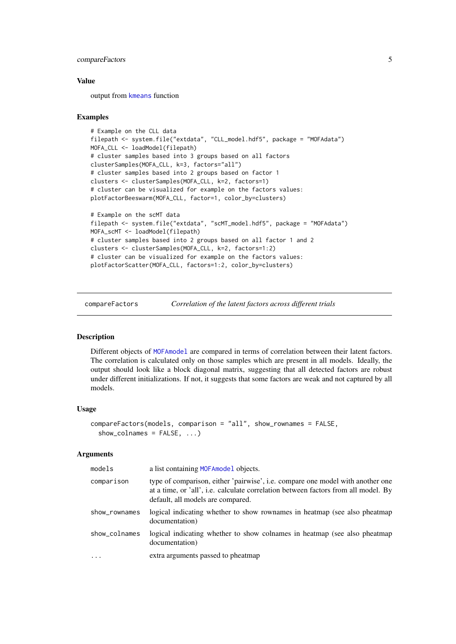#### <span id="page-4-0"></span>compareFactors 5

#### Value

output from [kmeans](#page-0-0) function

#### Examples

```
# Example on the CLL data
filepath <- system.file("extdata", "CLL_model.hdf5", package = "MOFAdata")
MOFA_CLL <- loadModel(filepath)
# cluster samples based into 3 groups based on all factors
clusterSamples(MOFA_CLL, k=3, factors="all")
# cluster samples based into 2 groups based on factor 1
clusters <- clusterSamples(MOFA_CLL, k=2, factors=1)
# cluster can be visualized for example on the factors values:
plotFactorBeeswarm(MOFA_CLL, factor=1, color_by=clusters)
# Example on the scMT data
filepath <- system.file("extdata", "scMT_model.hdf5", package = "MOFAdata")
MOFA_scMT <- loadModel(filepath)
# cluster samples based into 2 groups based on all factor 1 and 2
clusters <- clusterSamples(MOFA_CLL, k=2, factors=1:2)
# cluster can be visualized for example on the factors values:
plotFactorScatter(MOFA_CLL, factors=1:2, color_by=clusters)
```

```
compareFactors Correlation of the latent factors across different trials
```
#### Description

Different objects of [MOFAmodel](#page-25-1) are compared in terms of correlation between their latent factors. The correlation is calculated only on those samples which are present in all models. Ideally, the output should look like a block diagonal matrix, suggesting that all detected factors are robust under different initializations. If not, it suggests that some factors are weak and not captured by all models.

#### Usage

```
compareFactors(models, comparison = "all", show_rownames = FALSE,
  show_colnames = FALSE, ...)
```
#### Arguments

| models        | a list containing MOFA model objects.                                                                                                                                                                     |
|---------------|-----------------------------------------------------------------------------------------------------------------------------------------------------------------------------------------------------------|
| comparison    | type of comparison, either 'pairwise', i.e. compare one model with another one<br>at a time, or 'all', i.e. calculate correlation between factors from all model. By<br>default, all models are compared. |
| show_rownames | logical indicating whether to show rownames in heatmap (see also pheatmap)<br>documentation)                                                                                                              |
| show_colnames | logical indicating whether to show colnames in heatmap (see also pheatmap<br>documentation)                                                                                                               |
| $\cdot$       | extra arguments passed to pheatmap                                                                                                                                                                        |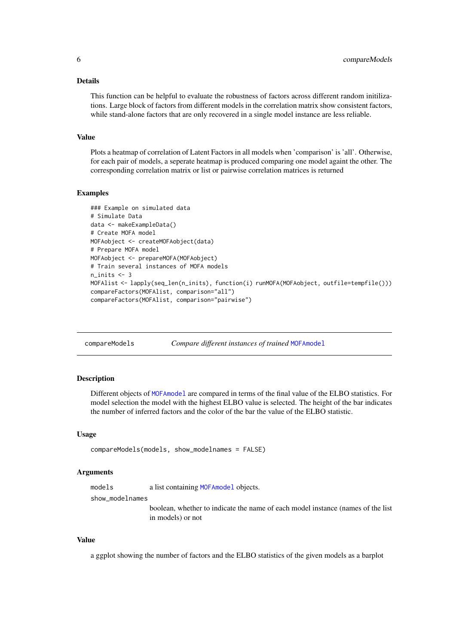#### <span id="page-5-0"></span>Details

This function can be helpful to evaluate the robustness of factors across different random initilizations. Large block of factors from different models in the correlation matrix show consistent factors, while stand-alone factors that are only recovered in a single model instance are less reliable.

#### Value

Plots a heatmap of correlation of Latent Factors in all models when 'comparison' is 'all'. Otherwise, for each pair of models, a seperate heatmap is produced comparing one model againt the other. The corresponding correlation matrix or list or pairwise correlation matrices is returned

#### Examples

```
### Example on simulated data
# Simulate Data
data <- makeExampleData()
# Create MOFA model
MOFAobject <- createMOFAobject(data)
# Prepare MOFA model
MOFAobject <- prepareMOFA(MOFAobject)
# Train several instances of MOFA models
n_inits <- 3
MOFAlist <- lapply(seq_len(n_inits), function(i) runMOFA(MOFAobject, outfile=tempfile()))
compareFactors(MOFAlist, comparison="all")
compareFactors(MOFAlist, comparison="pairwise")
```
compareModels *Compare different instances of trained* [MOFAmodel](#page-25-1)

#### Description

Different objects of [MOFAmodel](#page-25-1) are compared in terms of the final value of the ELBO statistics. For model selection the model with the highest ELBO value is selected. The height of the bar indicates the number of inferred factors and the color of the bar the value of the ELBO statistic.

# Usage

```
compareModels(models, show_modelnames = FALSE)
```
#### Arguments

models a list containing [MOFAmodel](#page-25-1) objects.

show\_modelnames

boolean, whether to indicate the name of each model instance (names of the list in models) or not

# Value

a ggplot showing the number of factors and the ELBO statistics of the given models as a barplot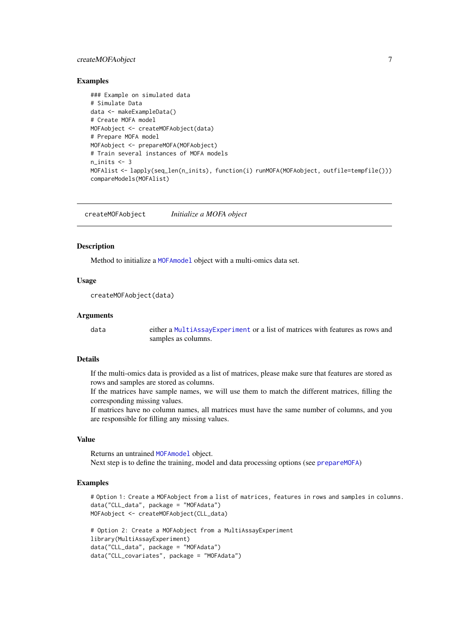#### <span id="page-6-0"></span>createMOFAobject 7

#### Examples

```
### Example on simulated data
# Simulate Data
data <- makeExampleData()
# Create MOFA model
MOFAobject <- createMOFAobject(data)
# Prepare MOFA model
MOFAobject <- prepareMOFA(MOFAobject)
# Train several instances of MOFA models
n_inits <- 3
MOFAlist <- lapply(seq_len(n_inits), function(i) runMOFA(MOFAobject, outfile=tempfile()))
compareModels(MOFAlist)
```
<span id="page-6-1"></span>createMOFAobject *Initialize a MOFA object*

# Description

Method to initialize a [MOFAmodel](#page-25-1) object with a multi-omics data set.

# Usage

createMOFAobject(data)

#### Arguments

data either a [MultiAssayExperiment](#page-0-0) or a list of matrices with features as rows and samples as columns.

# Details

If the multi-omics data is provided as a list of matrices, please make sure that features are stored as rows and samples are stored as columns.

If the matrices have sample names, we will use them to match the different matrices, filling the corresponding missing values.

If matrices have no column names, all matrices must have the same number of columns, and you are responsible for filling any missing values.

# Value

Returns an untrained [MOFAmodel](#page-25-1) object.

Next step is to define the training, model and data processing options (see [prepareMOFA](#page-43-1))

```
# Option 1: Create a MOFAobject from a list of matrices, features in rows and samples in columns.
data("CLL_data", package = "MOFAdata")
MOFAobject <- createMOFAobject(CLL_data)
```

```
# Option 2: Create a MOFAobject from a MultiAssayExperiment
library(MultiAssayExperiment)
data("CLL_data", package = "MOFAdata")
data("CLL_covariates", package = "MOFAdata")
```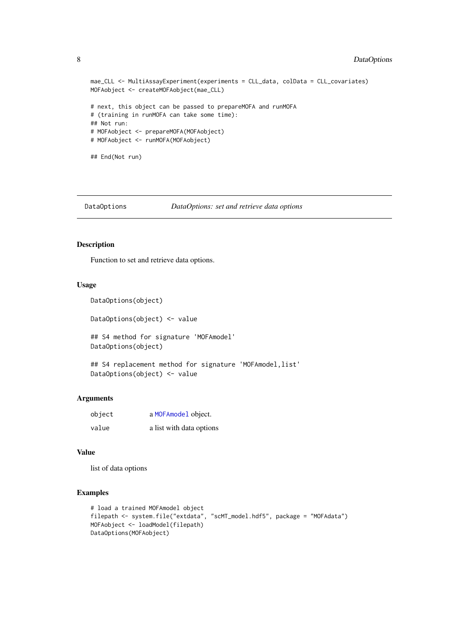```
mae_CLL <- MultiAssayExperiment(experiments = CLL_data, colData = CLL_covariates)
MOFAobject <- createMOFAobject(mae_CLL)
# next, this object can be passed to prepareMOFA and runMOFA
# (training in runMOFA can take some time):
## Not run:
# MOFAobject <- prepareMOFA(MOFAobject)
# MOFAobject <- runMOFA(MOFAobject)
## End(Not run)
```

```
DataOptions DataOptions: set and retrieve data options
```
#### Description

Function to set and retrieve data options.

#### Usage

```
DataOptions(object)
```
DataOptions(object) <- value

## S4 method for signature 'MOFAmodel' DataOptions(object)

```
## S4 replacement method for signature 'MOFAmodel, list'
DataOptions(object) <- value
```
# Arguments

| object | a MOFAmodel object.      |
|--------|--------------------------|
| value  | a list with data options |

#### Value

list of data options

```
# load a trained MOFAmodel object
filepath <- system.file("extdata", "scMT_model.hdf5", package = "MOFAdata")
MOFAobject <- loadModel(filepath)
DataOptions(MOFAobject)
```
<span id="page-7-0"></span>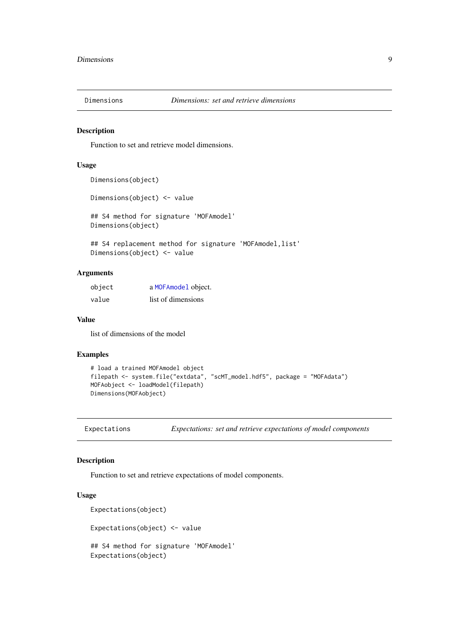<span id="page-8-0"></span>

# Description

Function to set and retrieve model dimensions.

# Usage

```
Dimensions(object)
```

```
Dimensions(object) <- value
```
## S4 method for signature 'MOFAmodel' Dimensions(object)

## S4 replacement method for signature 'MOFAmodel, list' Dimensions(object) <- value

# Arguments

| object | a MOFAmodel object. |
|--------|---------------------|
| value  | list of dimensions  |

#### Value

list of dimensions of the model

#### Examples

```
# load a trained MOFAmodel object
filepath <- system.file("extdata", "scMT_model.hdf5", package = "MOFAdata")
MOFAobject <- loadModel(filepath)
Dimensions(MOFAobject)
```
Expectations *Expectations: set and retrieve expectations of model components*

#### Description

Function to set and retrieve expectations of model components.

# Usage

```
Expectations(object)
Expectations(object) <- value
## S4 method for signature 'MOFAmodel'
Expectations(object)
```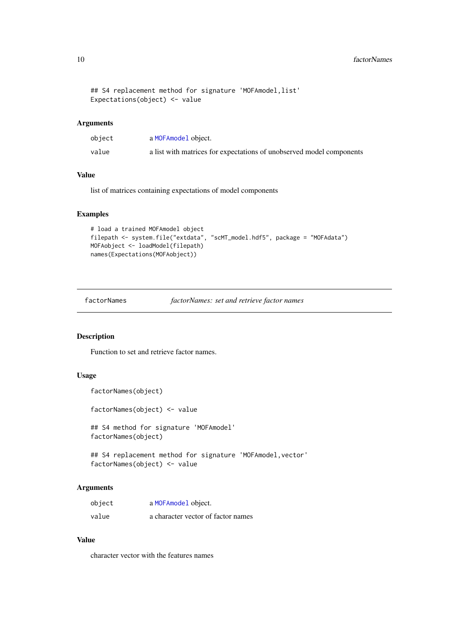```
## S4 replacement method for signature 'MOFAmodel, list'
Expectations(object) <- value
```
# Arguments

| object | a MOFAmodel object.                                                  |
|--------|----------------------------------------------------------------------|
| value  | a list with matrices for expectations of unobserved model components |

# Value

list of matrices containing expectations of model components

# Examples

```
# load a trained MOFAmodel object
filepath <- system.file("extdata", "scMT_model.hdf5", package = "MOFAdata")
MOFAobject <- loadModel(filepath)
names(Expectations(MOFAobject))
```
factorNames *factorNames: set and retrieve factor names*

#### Description

Function to set and retrieve factor names.

# Usage

```
factorNames(object)
```
factorNames(object) <- value

## S4 method for signature 'MOFAmodel' factorNames(object)

## S4 replacement method for signature 'MOFAmodel, vector' factorNames(object) <- value

# Arguments

| object | a MOFAmodel object.                |
|--------|------------------------------------|
| value  | a character vector of factor names |

# Value

character vector with the features names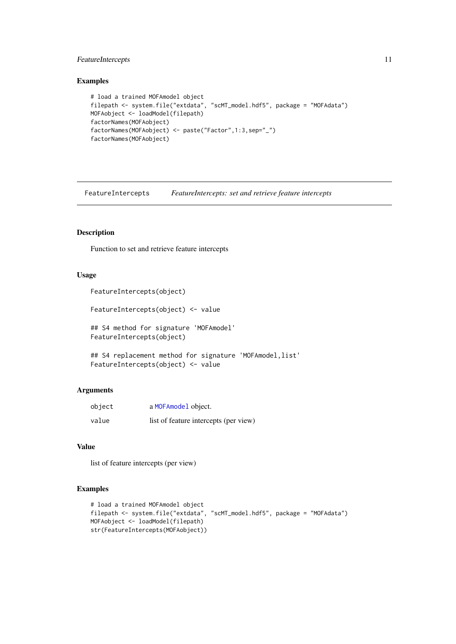#### <span id="page-10-0"></span>FeatureIntercepts 11

# Examples

```
# load a trained MOFAmodel object
filepath <- system.file("extdata", "scMT_model.hdf5", package = "MOFAdata")
MOFAobject <- loadModel(filepath)
factorNames(MOFAobject)
factorNames(MOFAobject) <- paste("Factor",1:3,sep="_")
factorNames(MOFAobject)
```
FeatureIntercepts *FeatureIntercepts: set and retrieve feature intercepts*

# Description

Function to set and retrieve feature intercepts

# Usage

```
FeatureIntercepts(object)
```
FeatureIntercepts(object) <- value

## S4 method for signature 'MOFAmodel' FeatureIntercepts(object)

```
## S4 replacement method for signature 'MOFAmodel, list'
FeatureIntercepts(object) <- value
```
# Arguments

| object | a MOFAmodel object.                   |
|--------|---------------------------------------|
| value  | list of feature intercepts (per view) |

# Value

list of feature intercepts (per view)

```
# load a trained MOFAmodel object
filepath <- system.file("extdata", "scMT_model.hdf5", package = "MOFAdata")
MOFAobject <- loadModel(filepath)
str(FeatureIntercepts(MOFAobject))
```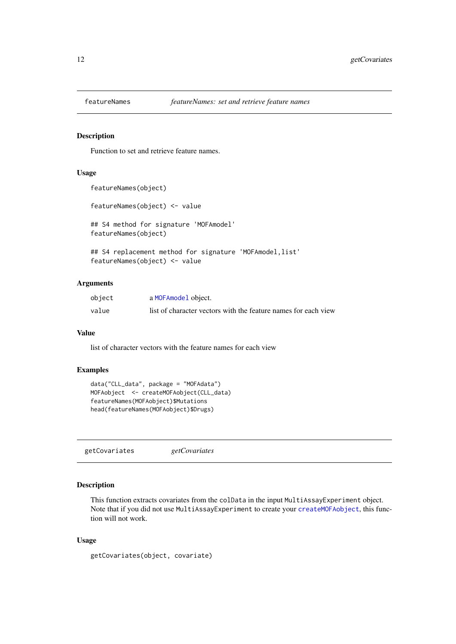<span id="page-11-0"></span>

#### Description

Function to set and retrieve feature names.

# Usage

```
featureNames(object)
featureNames(object) <- value
## S4 method for signature 'MOFAmodel'
featureNames(object)
## S4 replacement method for signature 'MOFAmodel, list'
featureNames(object) <- value
```
# Arguments

| object | a MOFAmodel object.                                            |
|--------|----------------------------------------------------------------|
| value  | list of character vectors with the feature names for each view |

#### Value

list of character vectors with the feature names for each view

# Examples

```
data("CLL_data", package = "MOFAdata")
MOFAobject <- createMOFAobject(CLL_data)
featureNames(MOFAobject)$Mutations
head(featureNames(MOFAobject)$Drugs)
```
getCovariates *getCovariates*

#### Description

This function extracts covariates from the colData in the input MultiAssayExperiment object. Note that if you did not use MultiAssayExperiment to create your [createMOFAobject](#page-6-1), this function will not work.

# Usage

```
getCovariates(object, covariate)
```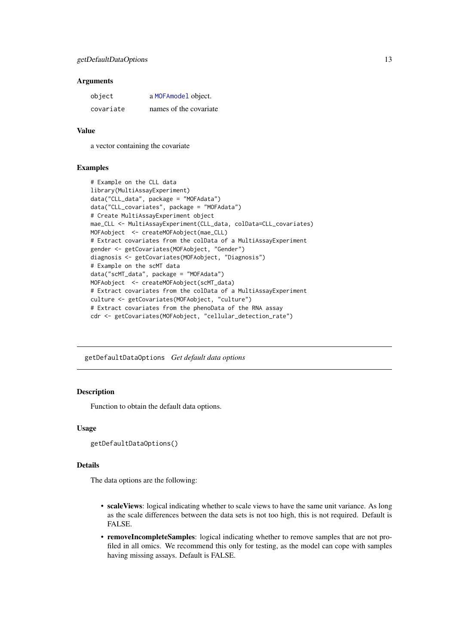#### <span id="page-12-0"></span>Arguments

| object    | a MOFAmodel object.    |
|-----------|------------------------|
| covariate | names of the covariate |

#### Value

a vector containing the covariate

# Examples

```
# Example on the CLL data
library(MultiAssayExperiment)
data("CLL_data", package = "MOFAdata")
data("CLL_covariates", package = "MOFAdata")
# Create MultiAssayExperiment object
mae_CLL <- MultiAssayExperiment(CLL_data, colData=CLL_covariates)
MOFAobject <- createMOFAobject(mae_CLL)
# Extract covariates from the colData of a MultiAssayExperiment
gender <- getCovariates(MOFAobject, "Gender")
diagnosis <- getCovariates(MOFAobject, "Diagnosis")
# Example on the scMT data
data("scMT_data", package = "MOFAdata")
MOFAobject <- createMOFAobject(scMT_data)
# Extract covariates from the colData of a MultiAssayExperiment
culture <- getCovariates(MOFAobject, "culture")
# Extract covariates from the phenoData of the RNA assay
cdr <- getCovariates(MOFAobject, "cellular_detection_rate")
```
<span id="page-12-1"></span>getDefaultDataOptions *Get default data options*

# Description

Function to obtain the default data options.

#### Usage

```
getDefaultDataOptions()
```
#### Details

The data options are the following:

- scale Views: logical indicating whether to scale views to have the same unit variance. As long as the scale differences between the data sets is not too high, this is not required. Default is FALSE.
- removeIncompleteSamples: logical indicating whether to remove samples that are not profiled in all omics. We recommend this only for testing, as the model can cope with samples having missing assays. Default is FALSE.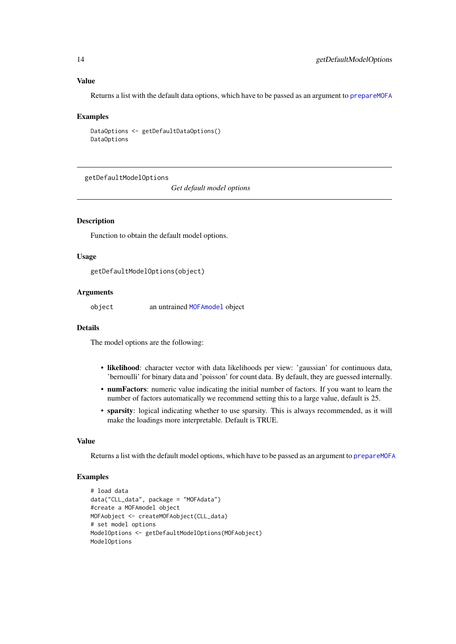# Value

Returns a list with the default data options, which have to be passed as an argument to [prepareMOFA](#page-43-1)

#### Examples

```
DataOptions <- getDefaultDataOptions()
DataOptions
```
<span id="page-13-1"></span>getDefaultModelOptions

*Get default model options*

#### Description

Function to obtain the default model options.

# Usage

getDefaultModelOptions(object)

# Arguments

object an untrained [MOFAmodel](#page-25-1) object

#### Details

The model options are the following:

- likelihood: character vector with data likelihoods per view: 'gaussian' for continuous data, 'bernoulli' for binary data and 'poisson' for count data. By default, they are guessed internally.
- numFactors: numeric value indicating the initial number of factors. If you want to learn the number of factors automatically we recommend setting this to a large value, default is 25.
- sparsity: logical indicating whether to use sparsity. This is always recommended, as it will make the loadings more interpretable. Default is TRUE.

#### Value

Returns a list with the default model options, which have to be passed as an argument to [prepareMOFA](#page-43-1)

```
# load data
data("CLL_data", package = "MOFAdata")
#create a MOFAmodel object
MOFAobject <- createMOFAobject(CLL_data)
# set model options
ModelOptions <- getDefaultModelOptions(MOFAobject)
ModelOptions
```
<span id="page-13-0"></span>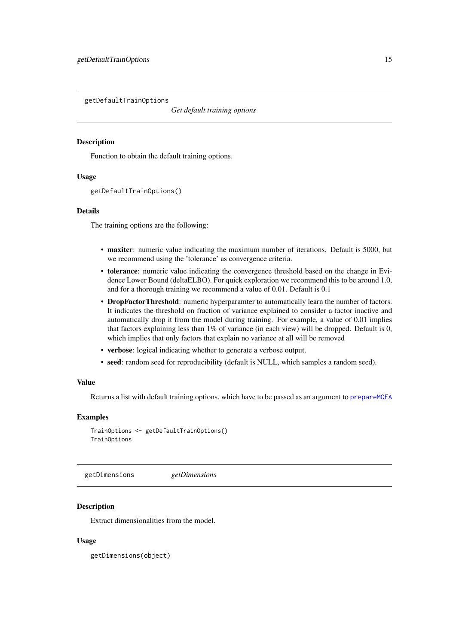<span id="page-14-1"></span><span id="page-14-0"></span>getDefaultTrainOptions

*Get default training options*

# Description

Function to obtain the default training options.

#### Usage

```
getDefaultTrainOptions()
```
# Details

The training options are the following:

- maxiter: numeric value indicating the maximum number of iterations. Default is 5000, but we recommend using the 'tolerance' as convergence criteria.
- tolerance: numeric value indicating the convergence threshold based on the change in Evidence Lower Bound (deltaELBO). For quick exploration we recommend this to be around 1.0, and for a thorough training we recommend a value of 0.01. Default is 0.1
- DropFactorThreshold: numeric hyperparamter to automatically learn the number of factors. It indicates the threshold on fraction of variance explained to consider a factor inactive and automatically drop it from the model during training. For example, a value of 0.01 implies that factors explaining less than 1% of variance (in each view) will be dropped. Default is 0, which implies that only factors that explain no variance at all will be removed
- verbose: logical indicating whether to generate a verbose output.
- seed: random seed for reproducibility (default is NULL, which samples a random seed).

#### Value

Returns a list with default training options, which have to be passed as an argument to [prepareMOFA](#page-43-1)

# Examples

```
TrainOptions <- getDefaultTrainOptions()
TrainOptions
```
getDimensions *getDimensions*

#### Description

Extract dimensionalities from the model.

# Usage

getDimensions(object)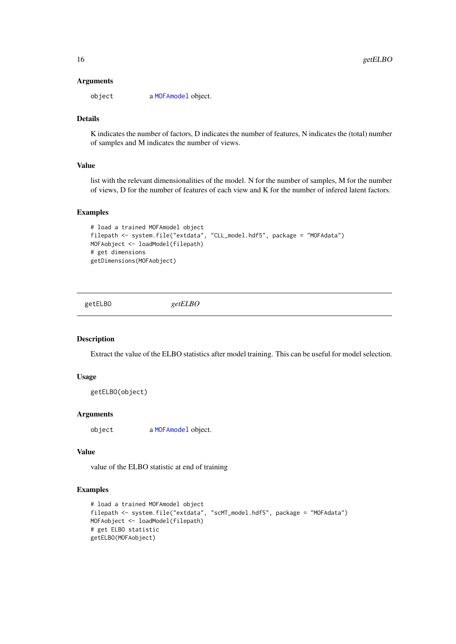#### Arguments

object a [MOFAmodel](#page-25-1) object.

# Details

K indicates the number of factors, D indicates the number of features, N indicates the (total) number of samples and M indicates the number of views.

# Value

list with the relevant dimensionalities of the model. N for the number of samples, M for the number of views, D for the number of features of each view and K for the number of infered latent factors.

# Examples

```
# load a trained MOFAmodel object
filepath <- system.file("extdata", "CLL_model.hdf5", package = "MOFAdata")
MOFAobject <- loadModel(filepath)
# get dimensions
getDimensions(MOFAobject)
```
getELBO *getELBO*

# Description

Extract the value of the ELBO statistics after model training. This can be useful for model selection.

# Usage

```
getELBO(object)
```
# Arguments

object a [MOFAmodel](#page-25-1) object.

# Value

value of the ELBO statistic at end of training

```
# load a trained MOFAmodel object
filepath <- system.file("extdata", "scMT_model.hdf5", package = "MOFAdata")
MOFAobject <- loadModel(filepath)
# get ELBO statistic
getELBO(MOFAobject)
```
<span id="page-15-0"></span>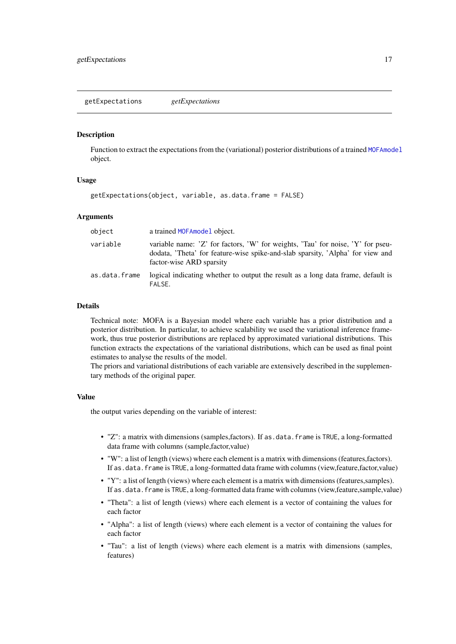<span id="page-16-0"></span>getExpectations *getExpectations*

#### Description

Function to extract the expectations from the (variational) posterior distributions of a trained [MOFAmodel](#page-25-1) object.

# Usage

```
getExpectations(object, variable, as.data.frame = FALSE)
```
#### Arguments

| object        | a trained MOFAmodel object.                                                                                                                                                                   |
|---------------|-----------------------------------------------------------------------------------------------------------------------------------------------------------------------------------------------|
| variable      | variable name: 'Z' for factors, 'W' for weights, 'Tau' for noise, 'Y' for pseu-<br>dodata, 'Theta' for feature-wise spike-and-slab sparsity, 'Alpha' for view and<br>factor-wise ARD sparsity |
| as.data.frame | logical indicating whether to output the result as a long data frame, default is<br>FALSE.                                                                                                    |

#### Details

Technical note: MOFA is a Bayesian model where each variable has a prior distribution and a posterior distribution. In particular, to achieve scalability we used the variational inference framework, thus true posterior distributions are replaced by approximated variational distributions. This function extracts the expectations of the variational distributions, which can be used as final point estimates to analyse the results of the model.

The priors and variational distributions of each variable are extensively described in the supplementary methods of the original paper.

#### Value

the output varies depending on the variable of interest:

- "Z": a matrix with dimensions (samples,factors). If as.data.frame is TRUE, a long-formatted data frame with columns (sample,factor,value)
- "W": a list of length (views) where each element is a matrix with dimensions (features,factors). If as.data.frame is TRUE, a long-formatted data frame with columns (view,feature,factor,value)
- "Y": a list of length (views) where each element is a matrix with dimensions (features,samples). If as.data.frame is TRUE, a long-formatted data frame with columns (view,feature,sample,value)
- "Theta": a list of length (views) where each element is a vector of containing the values for each factor
- "Alpha": a list of length (views) where each element is a vector of containing the values for each factor
- "Tau": a list of length (views) where each element is a matrix with dimensions (samples, features)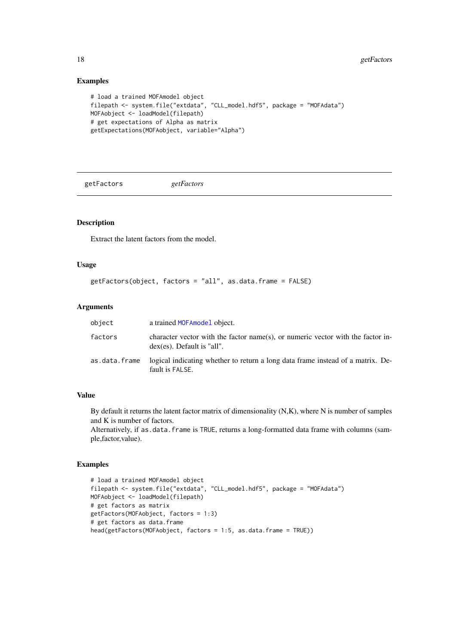# Examples

```
# load a trained MOFAmodel object
filepath <- system.file("extdata", "CLL_model.hdf5", package = "MOFAdata")
MOFAobject <- loadModel(filepath)
# get expectations of Alpha as matrix
getExpectations(MOFAobject, variable="Alpha")
```
getFactors *getFactors*

# Description

Extract the latent factors from the model.

# Usage

```
getFactors(object, factors = "all", as.data.frame = FALSE)
```
# Arguments

| object        | a trained MOFA model object.                                                                                     |
|---------------|------------------------------------------------------------------------------------------------------------------|
| factors       | character vector with the factor name(s), or numeric vector with the factor in-<br>$dex$ (es). Default is "all". |
| as.data.frame | logical indicating whether to return a long data frame instead of a matrix. De-<br>fault is FALSE.               |

#### Value

By default it returns the latent factor matrix of dimensionality  $(N,K)$ , where N is number of samples and K is number of factors.

Alternatively, if as.data.frame is TRUE, returns a long-formatted data frame with columns (sample,factor,value).

```
# load a trained MOFAmodel object
filepath <- system.file("extdata", "CLL_model.hdf5", package = "MOFAdata")
MOFAobject <- loadModel(filepath)
# get factors as matrix
getFactors(MOFAobject, factors = 1:3)
# get factors as data.frame
head(getFactors(MOFAobject, factors = 1:5, as.data.frame = TRUE))
```
<span id="page-17-0"></span>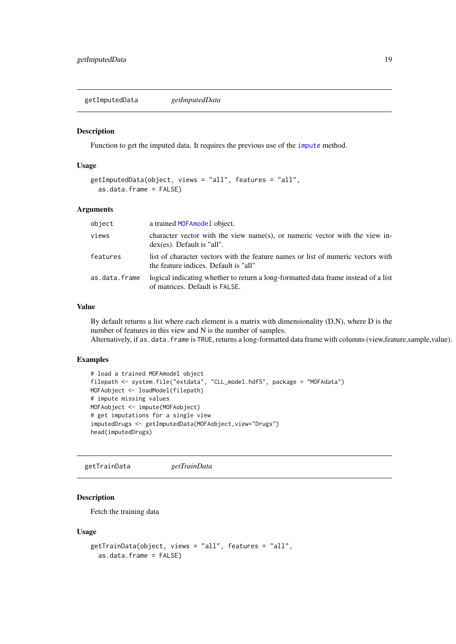<span id="page-18-0"></span>getImputedData *getImputedData*

#### Description

Function to get the imputed data. It requires the previous use of the [impute](#page-20-1) method.

# Usage

```
getImputedData(object, views = "all", features = "all",
  as.data.frame = FALSE)
```
#### Arguments

| object        | a trained MOFA model object.                                                                                              |
|---------------|---------------------------------------------------------------------------------------------------------------------------|
| views         | character vector with the view name(s), or numeric vector with the view in-<br>$dex$ (es). Default is "all".              |
| features      | list of character vectors with the feature names or list of numeric vectors with<br>the feature indices. Default is "all" |
| as.data.frame | logical indicating whether to return a long-formatted data frame instead of a list<br>of matrices. Default is FALSE.      |

# Value

By default returns a list where each element is a matrix with dimensionality (D,N), where D is the number of features in this view and N is the number of samples. Alternatively, if as.data.frame is TRUE, returns a long-formatted data frame with columns (view,feature,sample,value).

#### Examples

```
# load a trained MOFAmodel object
filepath <- system.file("extdata", "CLL_model.hdf5", package = "MOFAdata")
MOFAobject <- loadModel(filepath)
# impute missing values
MOFAobject <- impute(MOFAobject)
# get imputations for a single view
imputedDrugs <- getImputedData(MOFAobject,view="Drugs")
head(imputedDrugs)
```
getTrainData *getTrainData*

# Description

Fetch the training data

#### Usage

```
getTrainData(object, views = "all", features = "all",
 as.data.frame = FALSE)
```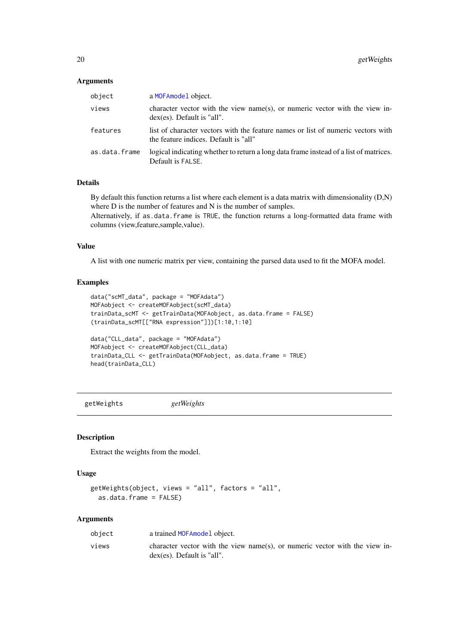# <span id="page-19-0"></span>Arguments

| object        | a MOFAmodel object.                                                                                                       |
|---------------|---------------------------------------------------------------------------------------------------------------------------|
| views         | character vector with the view name(s), or numeric vector with the view in-<br>$dex$ (es). Default is "all".              |
| features      | list of character vectors with the feature names or list of numeric vectors with<br>the feature indices. Default is "all" |
| as.data.frame | logical indicating whether to return a long data frame instead of a list of matrices.<br>Default is FALSE.                |

# Details

By default this function returns a list where each element is a data matrix with dimensionality (D,N) where D is the number of features and N is the number of samples.

Alternatively, if as.data.frame is TRUE, the function returns a long-formatted data frame with columns (view,feature,sample,value).

# Value

A list with one numeric matrix per view, containing the parsed data used to fit the MOFA model.

# Examples

```
data("scMT_data", package = "MOFAdata")
MOFAobject <- createMOFAobject(scMT_data)
trainData_scMT <- getTrainData(MOFAobject, as.data.frame = FALSE)
(trainData_scMT[["RNA expression"]])[1:10,1:10]
data("CLL_data", package = "MOFAdata")
MOFAobject <- createMOFAobject(CLL_data)
trainData_CLL <- getTrainData(MOFAobject, as.data.frame = TRUE)
```
getWeights *getWeights*

head(trainData\_CLL)

#### Description

Extract the weights from the model.

# Usage

```
getWeights(object, views = "all", factors = "all",
 as.data.frame = FALSE)
```
#### Arguments

| object | a trained MOFAmodel object.                                                                                  |
|--------|--------------------------------------------------------------------------------------------------------------|
| views  | character vector with the view name(s), or numeric vector with the view in-<br>$dex$ (es). Default is "all". |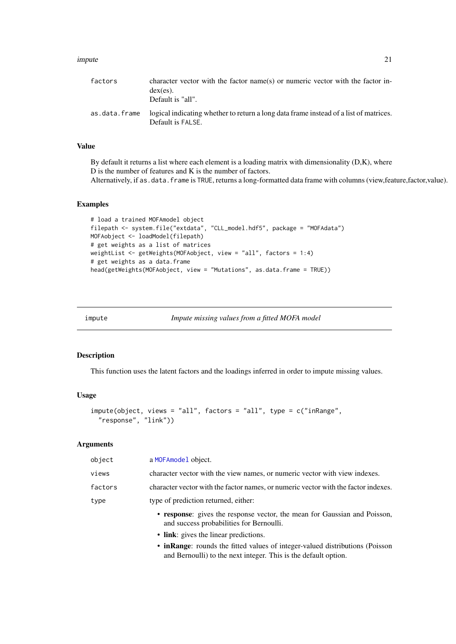#### <span id="page-20-0"></span>impute 21 and 22 and 22 and 22 and 22 and 22 and 22 and 22 and 22 and 22 and 22 and 22 and 22 and 22 and 22 and 22 and 22 and 22 and 22 and 22 and 22 and 22 and 22 and 22 and 22 and 22 and 22 and 22 and 22 and 22 and 22 an

| factors       | character vector with the factor name(s) or numeric vector with the factor in-<br>$dex$ (es).<br>Default is "all". |
|---------------|--------------------------------------------------------------------------------------------------------------------|
| as.data.frame | logical indicating whether to return a long data frame instead of a list of matrices.<br>Default is FALSE.         |

# Value

By default it returns a list where each element is a loading matrix with dimensionality (D,K), where D is the number of features and K is the number of factors. Alternatively, if as .data. frame is TRUE, returns a long-formatted data frame with columns (view,feature,factor,value).

# Examples

```
# load a trained MOFAmodel object
filepath <- system.file("extdata", "CLL_model.hdf5", package = "MOFAdata")
MOFAobject <- loadModel(filepath)
# get weights as a list of matrices
weightList <- getWeights(MOFAobject, view = "all", factors = 1:4)
# get weights as a data.frame
head(getWeights(MOFAobject, view = "Mutations", as.data.frame = TRUE))
```

```
impute Impute missing values from a fitted MOFA model
```
# Description

This function uses the latent factors and the loadings inferred in order to impute missing values.

#### Usage

```
impute(object, views = "all", factors = "all", type = c("inRange",
 "response", "link"))
```
#### Arguments

| object  | a MOFAmodel object.                                                                                                   |
|---------|-----------------------------------------------------------------------------------------------------------------------|
| views   | character vector with the view names, or numeric vector with view indexes.                                            |
| factors | character vector with the factor names, or numeric vector with the factor indexes.                                    |
| type    | type of prediction returned, either:                                                                                  |
|         | • response: gives the response vector, the mean for Gaussian and Poisson,<br>and success probabilities for Bernoulli. |
|         | • link: gives the linear predictions.                                                                                 |

• inRange: rounds the fitted values of integer-valued distributions (Poisson and Bernoulli) to the next integer. This is the default option.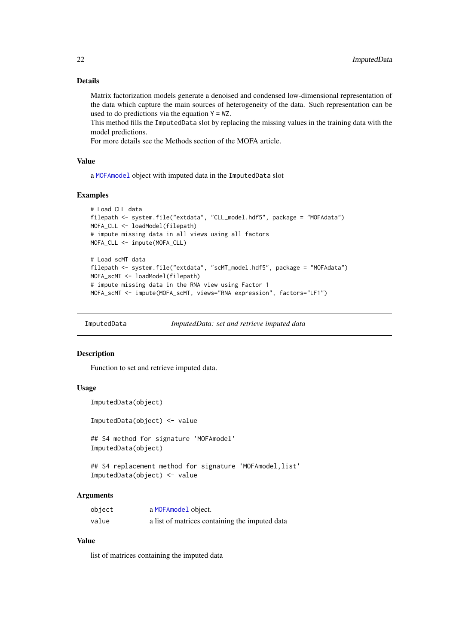#### Details

Matrix factorization models generate a denoised and condensed low-dimensional representation of the data which capture the main sources of heterogeneity of the data. Such representation can be used to do predictions via the equation  $Y = WZ$ .

This method fills the ImputedData slot by replacing the missing values in the training data with the model predictions.

For more details see the Methods section of the MOFA article.

#### Value

a [MOFAmodel](#page-25-1) object with imputed data in the ImputedData slot

#### Examples

```
# Load CLL data
filepath <- system.file("extdata", "CLL_model.hdf5", package = "MOFAdata")
MOFA_CLL <- loadModel(filepath)
# impute missing data in all views using all factors
MOFA_CLL <- impute(MOFA_CLL)
# Load scMT data
filepath <- system.file("extdata", "scMT_model.hdf5", package = "MOFAdata")
MOFA_scMT <- loadModel(filepath)
# impute missing data in the RNA view using Factor 1
MOFA_scMT <- impute(MOFA_scMT, views="RNA expression", factors="LF1")
```
ImputedData *ImputedData: set and retrieve imputed data*

#### Description

Function to set and retrieve imputed data.

#### Usage

```
ImputedData(object)
```
ImputedData(object) <- value

## S4 method for signature 'MOFAmodel' ImputedData(object)

## S4 replacement method for signature 'MOFAmodel, list' ImputedData(object) <- value

#### Arguments

| object | a MOFAmodel object.                            |
|--------|------------------------------------------------|
| value  | a list of matrices containing the imputed data |

# Value

list of matrices containing the imputed data

<span id="page-21-0"></span>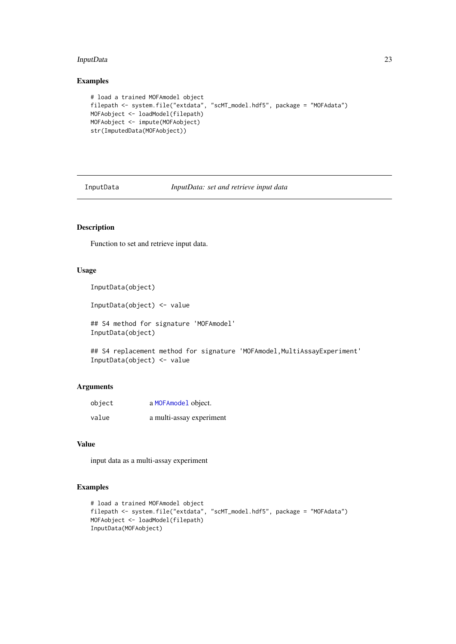#### <span id="page-22-0"></span>InputData 23

# Examples

```
# load a trained MOFAmodel object
filepath <- system.file("extdata", "scMT_model.hdf5", package = "MOFAdata")
MOFAobject <- loadModel(filepath)
MOFAobject <- impute(MOFAobject)
str(ImputedData(MOFAobject))
```
InputData *InputData: set and retrieve input data*

# Description

Function to set and retrieve input data.

## Usage

InputData(object)

InputData(object) <- value

## S4 method for signature 'MOFAmodel' InputData(object)

```
## S4 replacement method for signature 'MOFAmodel, MultiAssayExperiment'
InputData(object) <- value
```
# Arguments

| object | a MOFAmodel object.      |
|--------|--------------------------|
| value  | a multi-assay experiment |

# Value

input data as a multi-assay experiment

```
# load a trained MOFAmodel object
filepath <- system.file("extdata", "scMT_model.hdf5", package = "MOFAdata")
MOFAobject <- loadModel(filepath)
InputData(MOFAobject)
```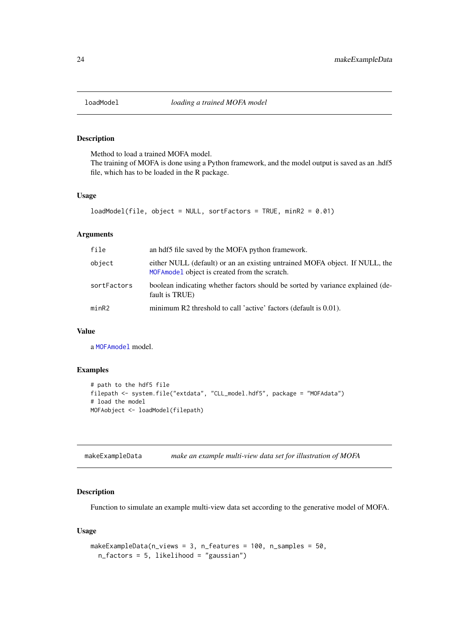<span id="page-23-0"></span>

#### Description

Method to load a trained MOFA model. The training of MOFA is done using a Python framework, and the model output is saved as an .hdf5 file, which has to be loaded in the R package.

# Usage

```
loadModel(file, object = NULL, sortFactors = TRUE, minR2 = 0.01)
```
# Arguments

| file        | an hdf5 file saved by the MOFA python framework.                                                                              |
|-------------|-------------------------------------------------------------------------------------------------------------------------------|
| object      | either NULL (default) or an an existing untrained MOFA object. If NULL, the<br>MOFA model object is created from the scratch. |
| sortFactors | boolean indicating whether factors should be sorted by variance explained (de-<br>fault is TRUE)                              |
| minR2       | minimum R2 threshold to call 'active' factors (default is 0.01).                                                              |

# Value

a [MOFAmodel](#page-25-1) model.

# Examples

```
# path to the hdf5 file
filepath <- system.file("extdata", "CLL_model.hdf5", package = "MOFAdata")
# load the model
MOFAobject <- loadModel(filepath)
```
makeExampleData *make an example multi-view data set for illustration of MOFA*

# Description

Function to simulate an example multi-view data set according to the generative model of MOFA.

# Usage

```
makeExampleData(n_views = 3, n_features = 100, n_samples = 50,
 n_factors = 5, likelihood = "gaussian")
```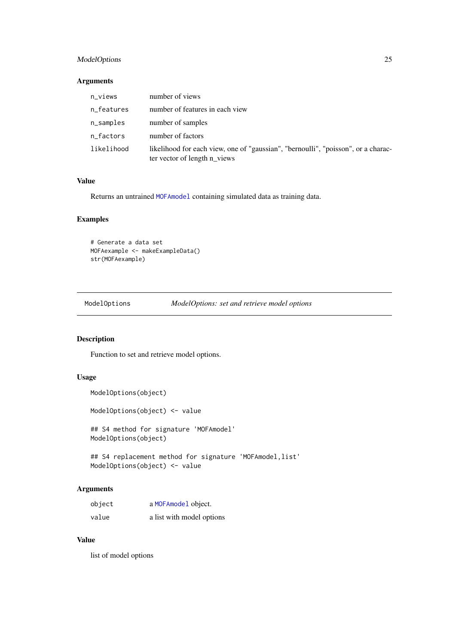# <span id="page-24-0"></span>ModelOptions 25

# Arguments

| n_views    | number of views                                                                                                   |
|------------|-------------------------------------------------------------------------------------------------------------------|
| n_features | number of features in each view                                                                                   |
| n_samples  | number of samples                                                                                                 |
| n_factors  | number of factors                                                                                                 |
| likelihood | likelihood for each view, one of "gaussian", "bernoulli", "poisson", or a charac-<br>ter vector of length n_views |

# Value

Returns an untrained [MOFAmodel](#page-25-1) containing simulated data as training data.

# Examples

```
# Generate a data set
MOFAexample <- makeExampleData()
str(MOFAexample)
```
ModelOptions *ModelOptions: set and retrieve model options*

# Description

Function to set and retrieve model options.

# Usage

```
ModelOptions(object)
```
ModelOptions(object) <- value

## S4 method for signature 'MOFAmodel' ModelOptions(object)

## S4 replacement method for signature 'MOFAmodel, list' ModelOptions(object) <- value

# Arguments

| object | a MOFAmodel object.       |
|--------|---------------------------|
| value  | a list with model options |

# Value

list of model options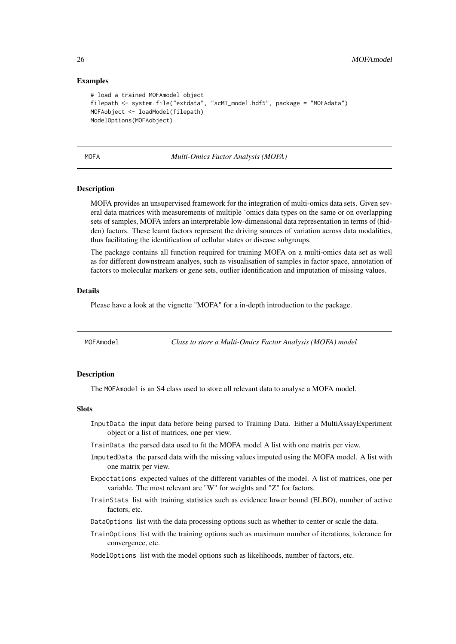#### Examples

```
# load a trained MOFAmodel object
filepath <- system.file("extdata", "scMT_model.hdf5", package = "MOFAdata")
MOFAobject <- loadModel(filepath)
ModelOptions(MOFAobject)
```
MOFA *Multi-Omics Factor Analysis (MOFA)*

#### Description

MOFA provides an unsupervised framework for the integration of multi-omics data sets. Given several data matrices with measurements of multiple 'omics data types on the same or on overlapping sets of samples, MOFA infers an interpretable low-dimensional data representation in terms of (hidden) factors. These learnt factors represent the driving sources of variation across data modalities, thus facilitating the identification of cellular states or disease subgroups.

The package contains all function required for training MOFA on a multi-omics data set as well as for different downstream analyes, such as visualisation of samples in factor space, annotation of factors to molecular markers or gene sets, outlier identification and imputation of missing values.

#### Details

Please have a look at the vignette "MOFA" for a in-depth introduction to the package.

<span id="page-25-1"></span>MOFAmodel *Class to store a Multi-Omics Factor Analysis (MOFA) model*

#### Description

The MOFAmodel is an S4 class used to store all relevant data to analyse a MOFA model.

#### Slots

- InputData the input data before being parsed to Training Data. Either a MultiAssayExperiment object or a list of matrices, one per view.
- TrainData the parsed data used to fit the MOFA model A list with one matrix per view.
- ImputedData the parsed data with the missing values imputed using the MOFA model. A list with one matrix per view.
- Expectations expected values of the different variables of the model. A list of matrices, one per variable. The most relevant are "W" for weights and "Z" for factors.
- TrainStats list with training statistics such as evidence lower bound (ELBO), number of active factors, etc.
- DataOptions list with the data processing options such as whether to center or scale the data.
- TrainOptions list with the training options such as maximum number of iterations, tolerance for convergence, etc.
- ModelOptions list with the model options such as likelihoods, number of factors, etc.

<span id="page-25-0"></span>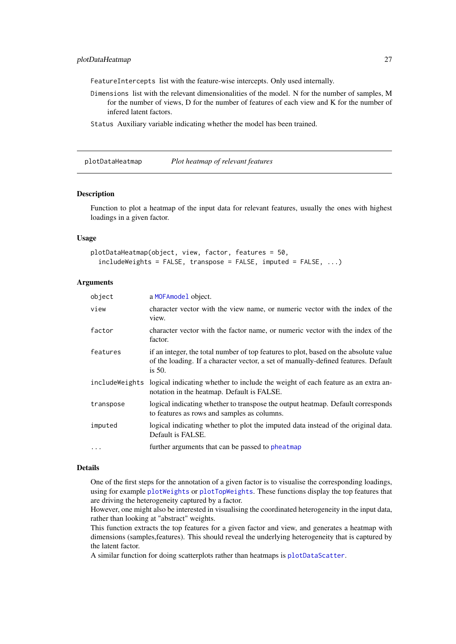<span id="page-26-0"></span>FeatureIntercepts list with the feature-wise intercepts. Only used internally.

Dimensions list with the relevant dimensionalities of the model. N for the number of samples, M for the number of views, D for the number of features of each view and K for the number of infered latent factors.

Status Auxiliary variable indicating whether the model has been trained.

<span id="page-26-1"></span>plotDataHeatmap *Plot heatmap of relevant features*

#### Description

Function to plot a heatmap of the input data for relevant features, usually the ones with highest loadings in a given factor.

#### Usage

```
plotDataHeatmap(object, view, factor, features = 50,
  include \space FeH \text{ is the total of the image.} includeWeights = FALSE, transpose = FALSE, ...
```
# Arguments

| object         | a MOFAmodel object.                                                                                                                                                                     |
|----------------|-----------------------------------------------------------------------------------------------------------------------------------------------------------------------------------------|
| view           | character vector with the view name, or numeric vector with the index of the<br>view.                                                                                                   |
| factor         | character vector with the factor name, or numeric vector with the index of the<br>factor.                                                                                               |
| features       | if an integer, the total number of top features to plot, based on the absolute value<br>of the loading. If a character vector, a set of manually-defined features. Default<br>is $50$ . |
| includeWeights | logical indicating whether to include the weight of each feature as an extra an-<br>notation in the heatmap. Default is FALSE.                                                          |
| transpose      | logical indicating whether to transpose the output heatmap. Default corresponds<br>to features as rows and samples as columns.                                                          |
| imputed        | logical indicating whether to plot the imputed data instead of the original data.<br>Default is FALSE.                                                                                  |
| $\cdots$       | further arguments that can be passed to pheatmap                                                                                                                                        |

#### Details

One of the first steps for the annotation of a given factor is to visualise the corresponding loadings, using for example [plotWeights](#page-40-1) or [plotTopWeights](#page-38-1). These functions display the top features that are driving the heterogeneity captured by a factor.

However, one might also be interested in visualising the coordinated heterogeneity in the input data, rather than looking at "abstract" weights.

This function extracts the top features for a given factor and view, and generates a heatmap with dimensions (samples,features). This should reveal the underlying heterogeneity that is captured by the latent factor.

A similar function for doing scatterplots rather than heatmaps is [plotDataScatter](#page-28-1).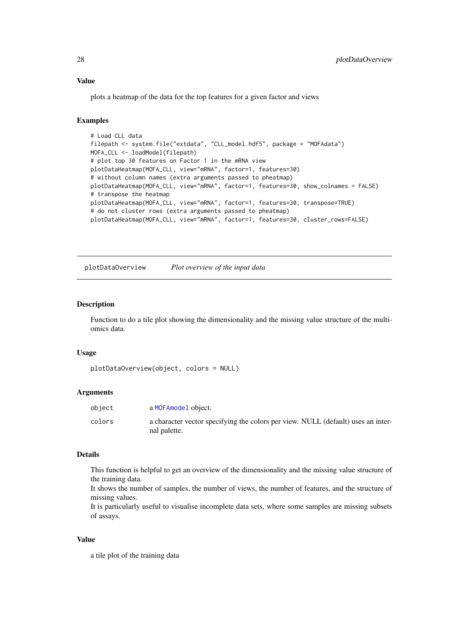#### <span id="page-27-0"></span>Value

plots a heatmap of the data for the top features for a given factor and views

# Examples

```
# Load CLL data
filepath <- system.file("extdata", "CLL_model.hdf5", package = "MOFAdata")
MOFA_CLL <- loadModel(filepath)
# plot top 30 features on Factor 1 in the mRNA view
plotDataHeatmap(MOFA_CLL, view="mRNA", factor=1, features=30)
# without column names (extra arguments passed to pheatmap)
plotDataHeatmap(MOFA_CLL, view="mRNA", factor=1, features=30, show_colnames = FALSE)
# transpose the heatmap
plotDataHeatmap(MOFA_CLL, view="mRNA", factor=1, features=30, transpose=TRUE)
# do not cluster rows (extra arguments passed to pheatmap)
plotDataHeatmap(MOFA_CLL, view="mRNA", factor=1, features=30, cluster_rows=FALSE)
```
plotDataOverview *Plot overview of the input data*

#### Description

Function to do a tile plot showing the dimensionality and the missing value structure of the multiomics data.

#### Usage

```
plotDataOverview(object, colors = NULL)
```
#### Arguments

| object | a MOFAmodel object.                                                                              |
|--------|--------------------------------------------------------------------------------------------------|
| colors | a character vector specifying the colors per view. NULL (default) uses an inter-<br>nal palette. |

#### Details

This function is helpful to get an overview of the dimensionality and the missing value structure of the training data.

It shows the number of samples, the number of views, the number of features, and the structure of missing values.

It is particularly useful to visualise incomplete data sets, where some samples are missing subsets of assays.

# Value

a tile plot of the training data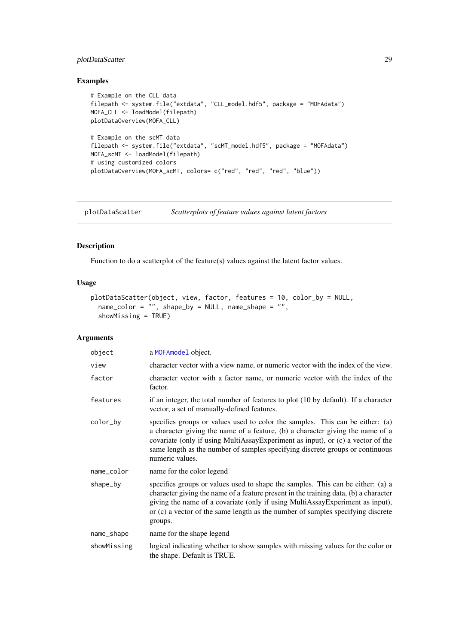#### <span id="page-28-0"></span>plotDataScatter 29

# Examples

```
# Example on the CLL data
filepath <- system.file("extdata", "CLL_model.hdf5", package = "MOFAdata")
MOFA_CLL <- loadModel(filepath)
plotDataOverview(MOFA_CLL)
# Example on the scMT data
filepath <- system.file("extdata", "scMT_model.hdf5", package = "MOFAdata")
MOFA_scMT <- loadModel(filepath)
# using customized colors
plotDataOverview(MOFA_scMT, colors= c("red", "red", "red", "blue"))
```
<span id="page-28-1"></span>plotDataScatter *Scatterplots of feature values against latent factors*

# Description

Function to do a scatterplot of the feature(s) values against the latent factor values.

# Usage

```
plotDataScatter(object, view, factor, features = 10, color_by = NULL,
 name_color = "", shape_by = NULL, name_shape = "",
 showMissing = TRUE)
```
# Arguments

| object      | a MOFAmodel object.                                                                                                                                                                                                                                                                                                                                    |
|-------------|--------------------------------------------------------------------------------------------------------------------------------------------------------------------------------------------------------------------------------------------------------------------------------------------------------------------------------------------------------|
| view        | character vector with a view name, or numeric vector with the index of the view.                                                                                                                                                                                                                                                                       |
| factor      | character vector with a factor name, or numeric vector with the index of the<br>factor.                                                                                                                                                                                                                                                                |
| features    | if an integer, the total number of features to plot (10 by default). If a character<br>vector, a set of manually-defined features.                                                                                                                                                                                                                     |
| color_by    | specifies groups or values used to color the samples. This can be either: (a)<br>a character giving the name of a feature, (b) a character giving the name of a<br>covariate (only if using MultiAssayExperiment as input), or (c) a vector of the<br>same length as the number of samples specifying discrete groups or continuous<br>numeric values. |
| name_color  | name for the color legend                                                                                                                                                                                                                                                                                                                              |
| shape_by    | specifies groups or values used to shape the samples. This can be either: (a) a<br>character giving the name of a feature present in the training data, (b) a character<br>giving the name of a covariate (only if using MultiAssayExperiment as input),<br>or (c) a vector of the same length as the number of samples specifying discrete<br>groups. |
| name_shape  | name for the shape legend                                                                                                                                                                                                                                                                                                                              |
| showMissing | logical indicating whether to show samples with missing values for the color or<br>the shape. Default is TRUE.                                                                                                                                                                                                                                         |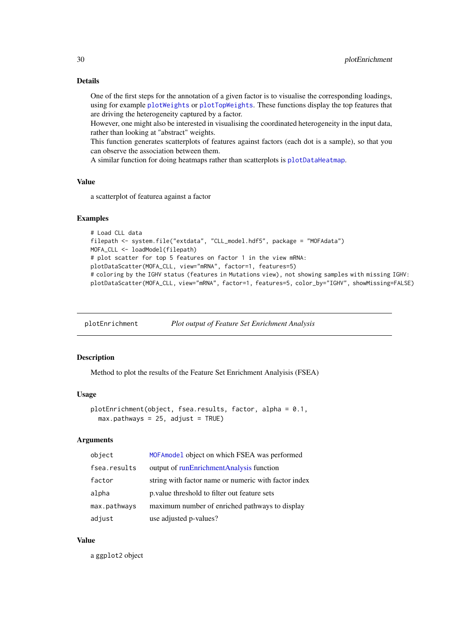# Details

One of the first steps for the annotation of a given factor is to visualise the corresponding loadings, using for example [plotWeights](#page-40-1) or [plotTopWeights](#page-38-1). These functions display the top features that are driving the heterogeneity captured by a factor.

However, one might also be interested in visualising the coordinated heterogeneity in the input data, rather than looking at "abstract" weights.

This function generates scatterplots of features against factors (each dot is a sample), so that you can observe the association between them.

A similar function for doing heatmaps rather than scatterplots is [plotDataHeatmap](#page-26-1).

## Value

a scatterplot of featurea against a factor

#### Examples

```
# Load CLL data
filepath <- system.file("extdata", "CLL_model.hdf5", package = "MOFAdata")
MOFA_CLL <- loadModel(filepath)
# plot scatter for top 5 features on factor 1 in the view mRNA:
plotDataScatter(MOFA_CLL, view="mRNA", factor=1, features=5)
# coloring by the IGHV status (features in Mutations view), not showing samples with missing IGHV:
plotDataScatter(MOFA_CLL, view="mRNA", factor=1, features=5, color_by="IGHV", showMissing=FALSE)
```
plotEnrichment *Plot output of Feature Set Enrichment Analysis*

#### Description

Method to plot the results of the Feature Set Enrichment Analyisis (FSEA)

#### Usage

```
plotEnrichment(object, fsea.results, factor, alpha = 0.1,
 max.pathways = 25, adjust = TRUE)
```
# Arguments

| object       | MOFAmodel object on which FSEA was performed         |
|--------------|------------------------------------------------------|
| fsea.results | output of runEnrichmentAnalysis function             |
| factor       | string with factor name or numeric with factor index |
| alpha        | p.value threshold to filter out feature sets         |
| max.pathways | maximum number of enriched pathways to display       |
| adjust       | use adjusted p-values?                               |

# Value

a ggplot2 object

<span id="page-29-0"></span>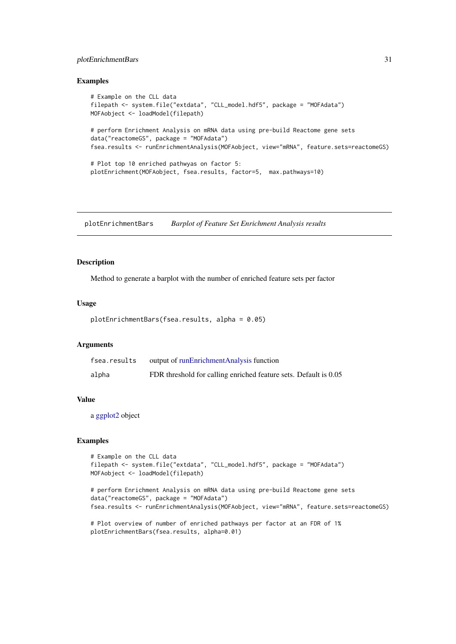#### <span id="page-30-0"></span>plotEnrichmentBars 31

#### Examples

```
# Example on the CLL data
filepath <- system.file("extdata", "CLL_model.hdf5", package = "MOFAdata")
MOFAobject <- loadModel(filepath)
# perform Enrichment Analysis on mRNA data using pre-build Reactome gene sets
data("reactomeGS", package = "MOFAdata")
fsea.results <- runEnrichmentAnalysis(MOFAobject, view="mRNA", feature.sets=reactomeGS)
# Plot top 10 enriched pathwyas on factor 5:
plotEnrichment(MOFAobject, fsea.results, factor=5, max.pathways=10)
```
plotEnrichmentBars *Barplot of Feature Set Enrichment Analysis results*

# Description

Method to generate a barplot with the number of enriched feature sets per factor

#### Usage

```
plotEnrichmentBars(fsea.results, alpha = 0.05)
```
#### Arguments

| fsea.results | output of runEnrichmentAnalysis function                         |
|--------------|------------------------------------------------------------------|
| alpha        | FDR threshold for calling enriched feature sets. Default is 0.05 |

# Value

a [ggplot2](#page-0-0) object

```
# Example on the CLL data
filepath <- system.file("extdata", "CLL_model.hdf5", package = "MOFAdata")
MOFAobject <- loadModel(filepath)
```

```
# perform Enrichment Analysis on mRNA data using pre-build Reactome gene sets
data("reactomeGS", package = "MOFAdata")
fsea.results <- runEnrichmentAnalysis(MOFAobject, view="mRNA", feature.sets=reactomeGS)
```

```
# Plot overview of number of enriched pathways per factor at an FDR of 1%
plotEnrichmentBars(fsea.results, alpha=0.01)
```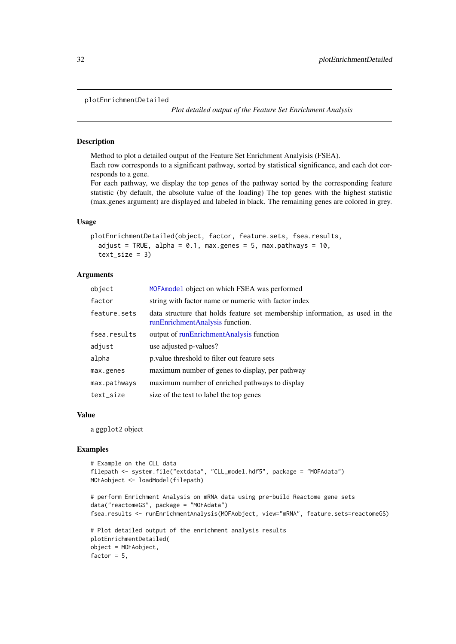#### <span id="page-31-0"></span>plotEnrichmentDetailed

*Plot detailed output of the Feature Set Enrichment Analysis*

#### Description

Method to plot a detailed output of the Feature Set Enrichment Analyisis (FSEA). Each row corresponds to a significant pathway, sorted by statistical significance, and each dot corresponds to a gene.

For each pathway, we display the top genes of the pathway sorted by the corresponding feature statistic (by default, the absolute value of the loading) The top genes with the highest statistic (max.genes argument) are displayed and labeled in black. The remaining genes are colored in grey.

#### Usage

```
plotEnrichmentDetailed(object, factor, feature.sets, fsea.results,
  adjust = TRUE, alpha = 0.1, max.genes = 5, max.pathways = 10,
  text_size = 3)
```
#### Arguments

| object       | MOFA model object on which FSEA was performed                                                                   |
|--------------|-----------------------------------------------------------------------------------------------------------------|
| factor       | string with factor name or numeric with factor index                                                            |
| feature.sets | data structure that holds feature set membership information, as used in the<br>runEnrichmentAnalysis function. |
| fsea.results | output of runEnrichmentAnalysis function                                                                        |
| adjust       | use adjusted p-values?                                                                                          |
| alpha        | p. value threshold to filter out feature sets                                                                   |
| max.genes    | maximum number of genes to display, per pathway                                                                 |
| max.pathways | maximum number of enriched pathways to display                                                                  |
| text_size    | size of the text to label the top genes                                                                         |

# Value

a ggplot2 object

```
# Example on the CLL data
filepath <- system.file("extdata", "CLL_model.hdf5", package = "MOFAdata")
MOFAobject <- loadModel(filepath)
# perform Enrichment Analysis on mRNA data using pre-build Reactome gene sets
data("reactomeGS", package = "MOFAdata")
fsea.results <- runEnrichmentAnalysis(MOFAobject, view="mRNA", feature.sets=reactomeGS)
# Plot detailed output of the enrichment analysis results
plotEnrichmentDetailed(
object = MOFAobject,
factor = 5,
```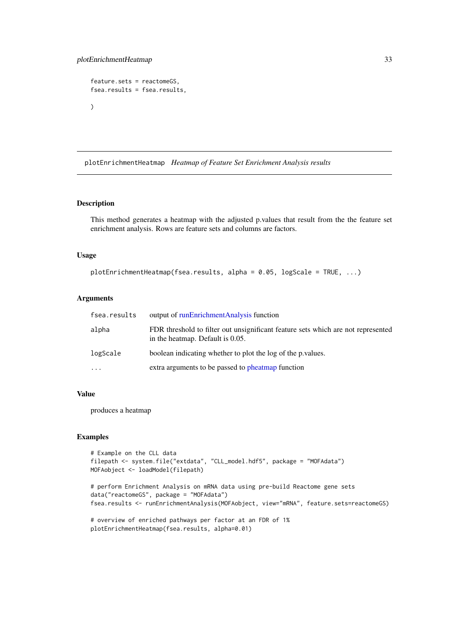```
feature.sets = reactomeGS,
fsea.results = fsea.results,
)
```
plotEnrichmentHeatmap *Heatmap of Feature Set Enrichment Analysis results*

#### Description

This method generates a heatmap with the adjusted p.values that result from the the feature set enrichment analysis. Rows are feature sets and columns are factors.

# Usage

```
plotEnrichmentHeatmap(fsea.results, alpha = 0.05, logScale = TRUE, ...)
```
#### Arguments

| fsea.results | output of runEnrichmentAnalysis function                                                                             |
|--------------|----------------------------------------------------------------------------------------------------------------------|
| alpha        | FDR threshold to filter out unsignificant feature sets which are not represented<br>in the heatmap. Default is 0.05. |
| logScale     | boolean indicating whether to plot the log of the p values.                                                          |
| $\ddots$ .   | extra arguments to be passed to pheatmap function                                                                    |

# Value

produces a heatmap

# Examples

```
# Example on the CLL data
filepath <- system.file("extdata", "CLL_model.hdf5", package = "MOFAdata")
MOFAobject <- loadModel(filepath)
```
# perform Enrichment Analysis on mRNA data using pre-build Reactome gene sets data("reactomeGS", package = "MOFAdata") fsea.results <- runEnrichmentAnalysis(MOFAobject, view="mRNA", feature.sets=reactomeGS)

```
# overview of enriched pathways per factor at an FDR of 1%
plotEnrichmentHeatmap(fsea.results, alpha=0.01)
```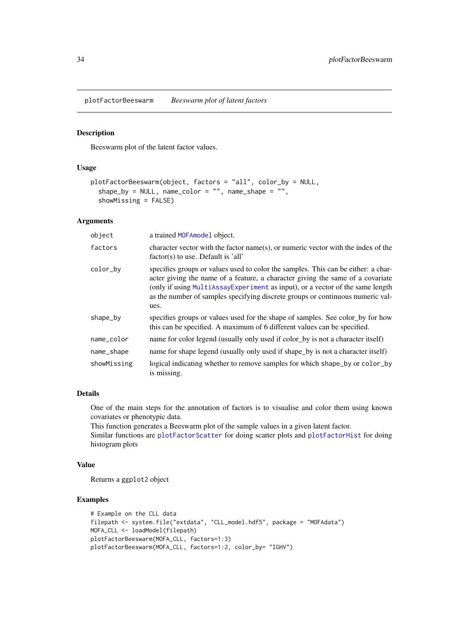<span id="page-33-1"></span><span id="page-33-0"></span>plotFactorBeeswarm *Beeswarm plot of latent factors*

#### Description

Beeswarm plot of the latent factor values.

# Usage

```
plotFactorBeeswarm(object, factors = "all", color_by = NULL,
  shape_by = NULL, name_color = ", name_shape = ",
  showMissing = FALSE)
```
#### Arguments

| object      | a trained MOFAmodel object.                                                                                                                                                                                                                                                                                                                     |
|-------------|-------------------------------------------------------------------------------------------------------------------------------------------------------------------------------------------------------------------------------------------------------------------------------------------------------------------------------------------------|
| factors     | character vector with the factor name(s), or numeric vector with the index of the<br>factor(s) to use. Default is 'all'                                                                                                                                                                                                                         |
| color_by    | specifies groups or values used to color the samples. This can be either: a char-<br>acter giving the name of a feature, a character giving the same of a covariate<br>(only if using MultiAssay Experiment as input), or a vector of the same length<br>as the number of samples specifying discrete groups or continuous numeric val-<br>ues. |
| shape_by    | specifies groups or values used for the shape of samples. See color by for how<br>this can be specified. A maximum of 6 different values can be specified.                                                                                                                                                                                      |
| name_color  | name for color legend (usually only used if color by is not a character itself)                                                                                                                                                                                                                                                                 |
| name_shape  | name for shape legend (usually only used if shape_by is not a character itself)                                                                                                                                                                                                                                                                 |
| showMissing | logical indicating whether to remove samples for which shape_by or color_by<br>is missing.                                                                                                                                                                                                                                                      |

# Details

One of the main steps for the annotation of factors is to visualise and color them using known covariates or phenotypic data.

This function generates a Beeswarm plot of the sample values in a given latent factor. Similar functions are [plotFactorScatter](#page-36-1) for doing scatter plots and [plotFactorHist](#page-35-1) for doing histogram plots

#### Value

Returns a ggplot2 object

```
# Example on the CLL data
filepath <- system.file("extdata", "CLL_model.hdf5", package = "MOFAdata")
MOFA_CLL <- loadModel(filepath)
plotFactorBeeswarm(MOFA_CLL, factors=1:3)
plotFactorBeeswarm(MOFA_CLL, factors=1:2, color_by= "IGHV")
```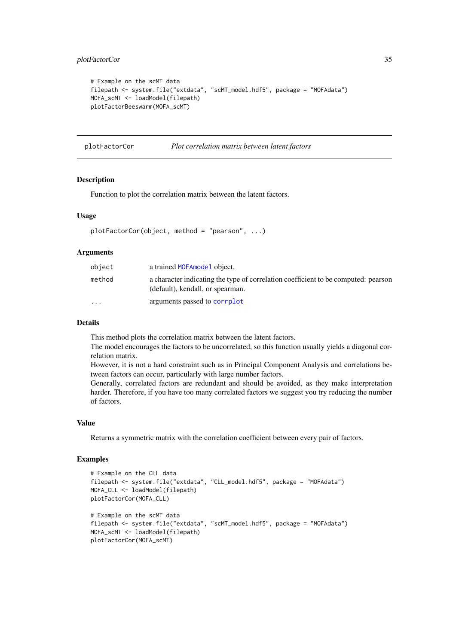#### <span id="page-34-0"></span>plotFactorCor 35

```
# Example on the scMT data
filepath <- system.file("extdata", "scMT_model.hdf5", package = "MOFAdata")
MOFA_scMT <- loadModel(filepath)
plotFactorBeeswarm(MOFA_scMT)
```
plotFactorCor *Plot correlation matrix between latent factors*

### Description

Function to plot the correlation matrix between the latent factors.

# Usage

```
plotFactorCor(object, method = "pearson", ...)
```
#### Arguments

| object                  | a trained MOFA model object.                                                                                           |
|-------------------------|------------------------------------------------------------------------------------------------------------------------|
| method                  | a character indicating the type of correlation coefficient to be computed: pearson<br>(default), kendall, or spearman. |
| $\cdot$ $\cdot$ $\cdot$ | arguments passed to corrplot                                                                                           |

#### Details

This method plots the correlation matrix between the latent factors.

The model encourages the factors to be uncorrelated, so this function usually yields a diagonal correlation matrix.

However, it is not a hard constraint such as in Principal Component Analysis and correlations between factors can occur, particularly with large number factors.

Generally, correlated factors are redundant and should be avoided, as they make interpretation harder. Therefore, if you have too many correlated factors we suggest you try reducing the number of factors.

# Value

Returns a symmetric matrix with the correlation coefficient between every pair of factors.

```
# Example on the CLL data
filepath <- system.file("extdata", "CLL_model.hdf5", package = "MOFAdata")
MOFA_CLL <- loadModel(filepath)
plotFactorCor(MOFA_CLL)
# Example on the scMT data
filepath <- system.file("extdata", "scMT_model.hdf5", package = "MOFAdata")
MOFA_scMT <- loadModel(filepath)
plotFactorCor(MOFA_scMT)
```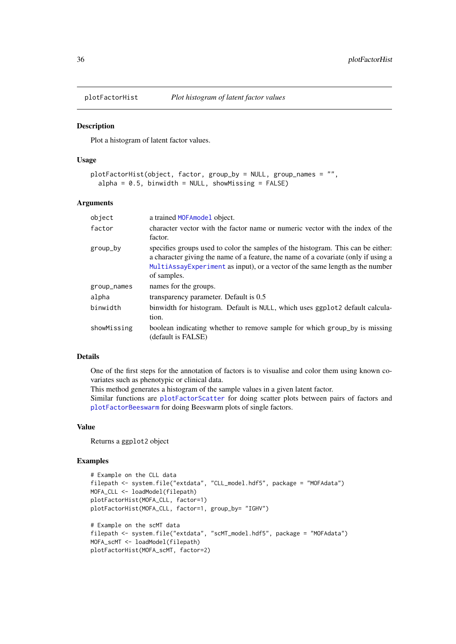<span id="page-35-1"></span><span id="page-35-0"></span>

#### Description

Plot a histogram of latent factor values.

# Usage

```
plotFactorHist(object, factor, group_by = NULL, group_names = "",
  alpha = 0.5, binwidth = NULL, showMissing = FALSE)
```
#### Arguments

| object      | a trained MOFAmodel object.                                                                                                                                                                                                                                           |
|-------------|-----------------------------------------------------------------------------------------------------------------------------------------------------------------------------------------------------------------------------------------------------------------------|
| factor      | character vector with the factor name or numeric vector with the index of the                                                                                                                                                                                         |
|             | factor.                                                                                                                                                                                                                                                               |
| group_by    | specifies groups used to color the samples of the histogram. This can be either:<br>a character giving the name of a feature, the name of a covariate (only if using a<br>MultiAssay Experiment as input, or a vector of the same length as the number<br>of samples. |
| group_names | names for the groups.                                                                                                                                                                                                                                                 |
| alpha       | transparency parameter. Default is 0.5                                                                                                                                                                                                                                |
| binwidth    | binwidth for histogram. Default is NULL, which uses ggplot2 default calcula-<br>tion.                                                                                                                                                                                 |
| showMissing | boolean indicating whether to remove sample for which group_by is missing<br>(default is FALSE)                                                                                                                                                                       |

# Details

One of the first steps for the annotation of factors is to visualise and color them using known covariates such as phenotypic or clinical data.

This method generates a histogram of the sample values in a given latent factor.

Similar functions are [plotFactorScatter](#page-36-1) for doing scatter plots between pairs of factors and [plotFactorBeeswarm](#page-33-1) for doing Beeswarm plots of single factors.

#### Value

Returns a ggplot2 object

```
# Example on the CLL data
filepath <- system.file("extdata", "CLL_model.hdf5", package = "MOFAdata")
MOFA_CLL <- loadModel(filepath)
plotFactorHist(MOFA_CLL, factor=1)
plotFactorHist(MOFA_CLL, factor=1, group_by= "IGHV")
# Example on the scMT data
filepath <- system.file("extdata", "scMT_model.hdf5", package = "MOFAdata")
MOFA_scMT <- loadModel(filepath)
plotFactorHist(MOFA_scMT, factor=2)
```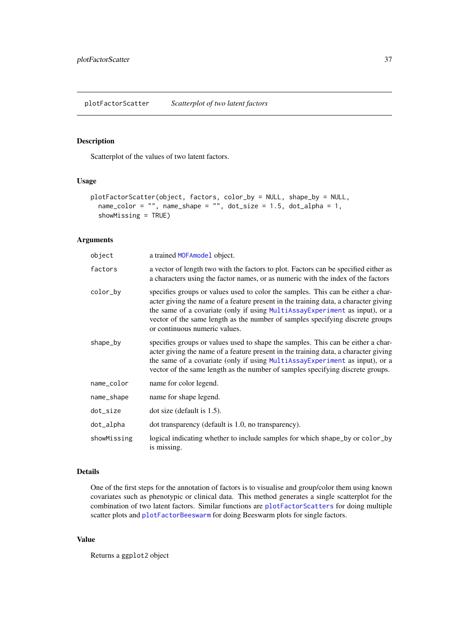<span id="page-36-1"></span><span id="page-36-0"></span>plotFactorScatter *Scatterplot of two latent factors*

# Description

Scatterplot of the values of two latent factors.

# Usage

```
plotFactorScatter(object, factors, color_by = NULL, shape_by = NULL,
  name_color = "", name_shape = "", dot_size = 1.5, dot_alpha = 1,
  showMissing = TRUE)
```
# Arguments

| object      | a trained MOFAmodel object.                                                                                                                                                                                                                                                                                                                                              |
|-------------|--------------------------------------------------------------------------------------------------------------------------------------------------------------------------------------------------------------------------------------------------------------------------------------------------------------------------------------------------------------------------|
| factors     | a vector of length two with the factors to plot. Factors can be specified either as<br>a characters using the factor names, or as numeric with the index of the factors                                                                                                                                                                                                  |
| color_by    | specifies groups or values used to color the samples. This can be either a char-<br>acter giving the name of a feature present in the training data, a character giving<br>the same of a covariate (only if using MultiAssayExperiment as input), or a<br>vector of the same length as the number of samples specifying discrete groups<br>or continuous numeric values. |
| shape_by    | specifies groups or values used to shape the samples. This can be either a char-<br>acter giving the name of a feature present in the training data, a character giving<br>the same of a covariate (only if using MultiAssayExperiment as input), or a<br>vector of the same length as the number of samples specifying discrete groups.                                 |
| name_color  | name for color legend.                                                                                                                                                                                                                                                                                                                                                   |
| name_shape  | name for shape legend.                                                                                                                                                                                                                                                                                                                                                   |
| dot_size    | $dot size$ (default is 1.5).                                                                                                                                                                                                                                                                                                                                             |
| dot_alpha   | dot transparency (default is 1.0, no transparency).                                                                                                                                                                                                                                                                                                                      |
| showMissing | logical indicating whether to include samples for which shape_by or color_by<br>is missing.                                                                                                                                                                                                                                                                              |

# Details

One of the first steps for the annotation of factors is to visualise and group/color them using known covariates such as phenotypic or clinical data. This method generates a single scatterplot for the combination of two latent factors. Similar functions are [plotFactorScatters](#page-37-1) for doing multiple scatter plots and [plotFactorBeeswarm](#page-33-1) for doing Beeswarm plots for single factors.

# Value

Returns a ggplot2 object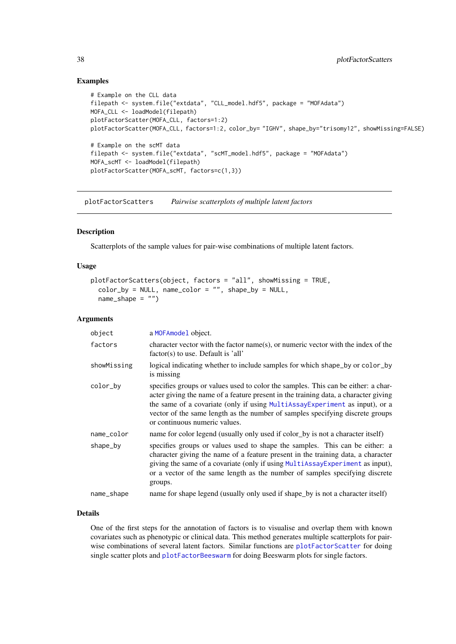#### Examples

```
# Example on the CLL data
filepath <- system.file("extdata", "CLL_model.hdf5", package = "MOFAdata")
MOFA_CLL <- loadModel(filepath)
plotFactorScatter(MOFA_CLL, factors=1:2)
plotFactorScatter(MOFA_CLL, factors=1:2, color_by= "IGHV", shape_by="trisomy12", showMissing=FALSE)
# Example on the scMT data
filepath <- system.file("extdata", "scMT_model.hdf5", package = "MOFAdata")
MOFA_scMT <- loadModel(filepath)
plotFactorScatter(MOFA_scMT, factors=c(1,3))
```
<span id="page-37-1"></span>plotFactorScatters *Pairwise scatterplots of multiple latent factors*

# Description

Scatterplots of the sample values for pair-wise combinations of multiple latent factors.

#### Usage

```
plotFactorScatters(object, factors = "all", showMissing = TRUE,
 color\_by = NULL, name_color = "", shape_by = NULL,
 name shape = "")
```
#### Arguments

| object      | a MOFAmodel object.                                                                                                                                                                                                                                                                                                                                                       |  |
|-------------|---------------------------------------------------------------------------------------------------------------------------------------------------------------------------------------------------------------------------------------------------------------------------------------------------------------------------------------------------------------------------|--|
| factors     | character vector with the factor name(s), or numeric vector with the index of the<br>factor(s) to use. Default is 'all'                                                                                                                                                                                                                                                   |  |
| showMissing | logical indicating whether to include samples for which shape_by or color_by<br>is missing                                                                                                                                                                                                                                                                                |  |
| color_by    | specifies groups or values used to color the samples. This can be either: a char-<br>acter giving the name of a feature present in the training data, a character giving<br>the same of a covariate (only if using MultiAssayExperiment as input), or a<br>vector of the same length as the number of samples specifying discrete groups<br>or continuous numeric values. |  |
| name_color  | name for color legend (usually only used if color by is not a character itself)                                                                                                                                                                                                                                                                                           |  |
| shape_by    | specifies groups or values used to shape the samples. This can be either: a<br>character giving the name of a feature present in the training data, a character<br>giving the same of a covariate (only if using MultiAssayExperiment as input),<br>or a vector of the same length as the number of samples specifying discrete<br>groups.                                |  |
| name_shape  | name for shape legend (usually only used if shape_by is not a character itself)                                                                                                                                                                                                                                                                                           |  |

# Details

One of the first steps for the annotation of factors is to visualise and overlap them with known covariates such as phenotypic or clinical data. This method generates multiple scatterplots for pairwise combinations of several latent factors. Similar functions are [plotFactorScatter](#page-36-1) for doing single scatter plots and [plotFactorBeeswarm](#page-33-1) for doing Beeswarm plots for single factors.

<span id="page-37-0"></span>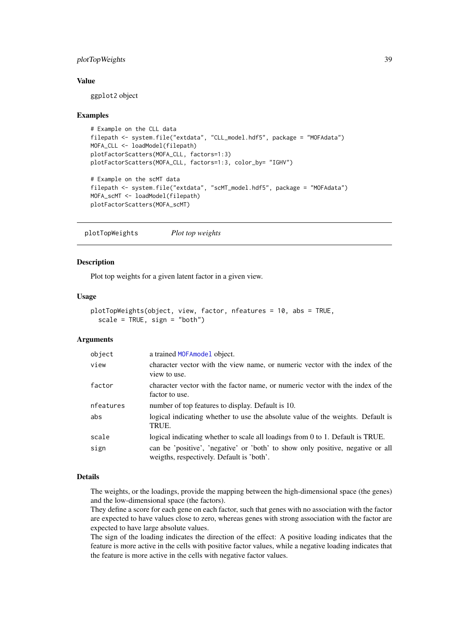#### <span id="page-38-0"></span>plotTopWeights 39

#### Value

ggplot2 object

#### Examples

```
# Example on the CLL data
filepath <- system.file("extdata", "CLL_model.hdf5", package = "MOFAdata")
MOFA_CLL <- loadModel(filepath)
plotFactorScatters(MOFA_CLL, factors=1:3)
plotFactorScatters(MOFA_CLL, factors=1:3, color_by= "IGHV")
# Example on the scMT data
filepath <- system.file("extdata", "scMT_model.hdf5", package = "MOFAdata")
MOFA_scMT <- loadModel(filepath)
plotFactorScatters(MOFA_scMT)
```
<span id="page-38-1"></span>plotTopWeights *Plot top weights*

#### Description

Plot top weights for a given latent factor in a given view.

# Usage

```
plotTopWeights(object, view, factor, nfeatures = 10, abs = TRUE,
  scale = TRUE, sign = "both")
```
# Arguments

| object    | a trained MOFAmodel object.                                                                                                 |
|-----------|-----------------------------------------------------------------------------------------------------------------------------|
| view      | character vector with the view name, or numeric vector with the index of the<br>view to use.                                |
| factor    | character vector with the factor name, or numeric vector with the index of the<br>factor to use.                            |
| nfeatures | number of top features to display. Default is 10.                                                                           |
| abs       | logical indicating whether to use the absolute value of the weights. Default is<br>TRUE.                                    |
| scale     | logical indicating whether to scale all loadings from 0 to 1. Default is TRUE.                                              |
| sign      | can be 'positive', 'negative' or 'both' to show only positive, negative or all<br>weigths, respectively. Default is 'both'. |

#### Details

The weights, or the loadings, provide the mapping between the high-dimensional space (the genes) and the low-dimensional space (the factors).

They define a score for each gene on each factor, such that genes with no association with the factor are expected to have values close to zero, whereas genes with strong association with the factor are expected to have large absolute values.

The sign of the loading indicates the direction of the effect: A positive loading indicates that the feature is more active in the cells with positive factor values, while a negative loading indicates that the feature is more active in the cells with negative factor values.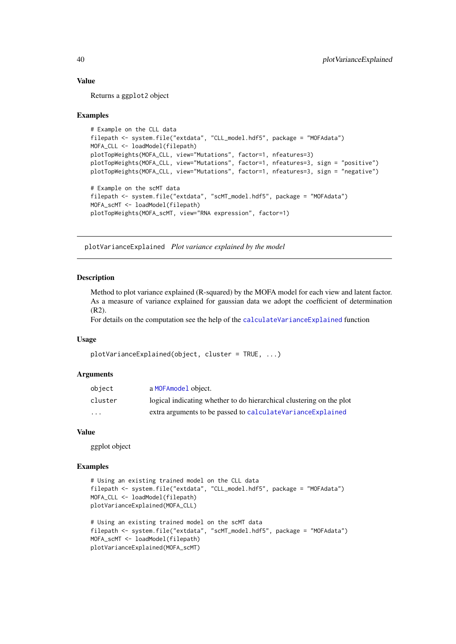#### Value

Returns a ggplot2 object

#### Examples

```
# Example on the CLL data
filepath <- system.file("extdata", "CLL_model.hdf5", package = "MOFAdata")
MOFA_CLL <- loadModel(filepath)
plotTopWeights(MOFA_CLL, view="Mutations", factor=1, nfeatures=3)
plotTopWeights(MOFA_CLL, view="Mutations", factor=1, nfeatures=3, sign = "positive")
plotTopWeights(MOFA_CLL, view="Mutations", factor=1, nfeatures=3, sign = "negative")
# Example on the scMT data
filepath <- system.file("extdata", "scMT_model.hdf5", package = "MOFAdata")
MOFA_scMT <- loadModel(filepath)
plotTopWeights(MOFA_scMT, view="RNA expression", factor=1)
```
<span id="page-39-1"></span>plotVarianceExplained *Plot variance explained by the model*

#### Description

Method to plot variance explained (R-squared) by the MOFA model for each view and latent factor. As a measure of variance explained for gaussian data we adopt the coefficient of determination (R2).

For details on the computation see the help of the [calculateVarianceExplained](#page-2-1) function

#### Usage

```
plotVarianceExplained(object, cluster = TRUE, ...)
```
#### Arguments

| obiect                  | a MOFAmodel object.                                                  |
|-------------------------|----------------------------------------------------------------------|
| cluster                 | logical indicating whether to do hierarchical clustering on the plot |
| $\cdot$ $\cdot$ $\cdot$ | extra arguments to be passed to calculate Variance Explained         |

# Value

ggplot object

```
# Using an existing trained model on the CLL data
filepath <- system.file("extdata", "CLL_model.hdf5", package = "MOFAdata")
MOFA_CLL <- loadModel(filepath)
plotVarianceExplained(MOFA_CLL)
# Using an existing trained model on the scMT data
filepath <- system.file("extdata", "scMT_model.hdf5", package = "MOFAdata")
MOFA_scMT <- loadModel(filepath)
plotVarianceExplained(MOFA_scMT)
```
<span id="page-39-0"></span>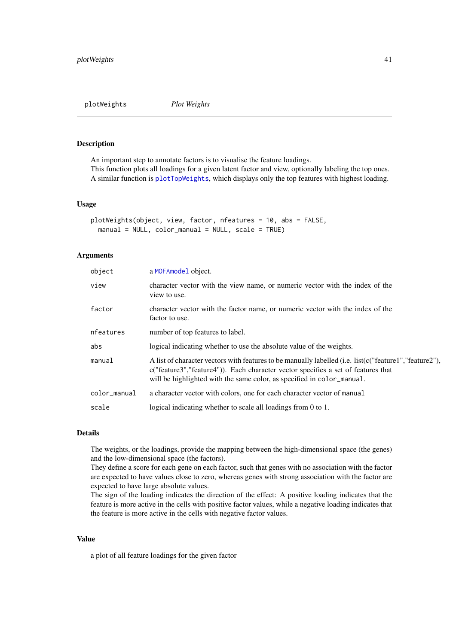<span id="page-40-1"></span><span id="page-40-0"></span>

#### Description

An important step to annotate factors is to visualise the feature loadings. This function plots all loadings for a given latent factor and view, optionally labeling the top ones. A similar function is [plotTopWeights](#page-38-1), which displays only the top features with highest loading.

#### Usage

```
plotWeights(object, view, factor, nfeatures = 10, abs = FALSE,
 manual = NULL, color\_manual = NULL, scale = TRUE)
```
# Arguments

| a MOFAmodel object.                                                                                                                                                                                                                                                   |  |
|-----------------------------------------------------------------------------------------------------------------------------------------------------------------------------------------------------------------------------------------------------------------------|--|
| character vector with the view name, or numeric vector with the index of the<br>view to use.                                                                                                                                                                          |  |
| character vector with the factor name, or numeric vector with the index of the<br>factor to use.                                                                                                                                                                      |  |
| number of top features to label.                                                                                                                                                                                                                                      |  |
| logical indicating whether to use the absolute value of the weights.                                                                                                                                                                                                  |  |
| A list of character vectors with features to be manually labelled (i.e. list(c("feature1","feature2").<br>c("feature3","feature4")). Each character vector specifies a set of features that<br>will be highlighted with the same color, as specified in color_manual. |  |
| a character vector with colors, one for each character vector of manual                                                                                                                                                                                               |  |
| logical indicating whether to scale all loadings from 0 to 1.                                                                                                                                                                                                         |  |
|                                                                                                                                                                                                                                                                       |  |

# Details

The weights, or the loadings, provide the mapping between the high-dimensional space (the genes) and the low-dimensional space (the factors).

They define a score for each gene on each factor, such that genes with no association with the factor are expected to have values close to zero, whereas genes with strong association with the factor are expected to have large absolute values.

The sign of the loading indicates the direction of the effect: A positive loading indicates that the feature is more active in the cells with positive factor values, while a negative loading indicates that the feature is more active in the cells with negative factor values.

# Value

a plot of all feature loadings for the given factor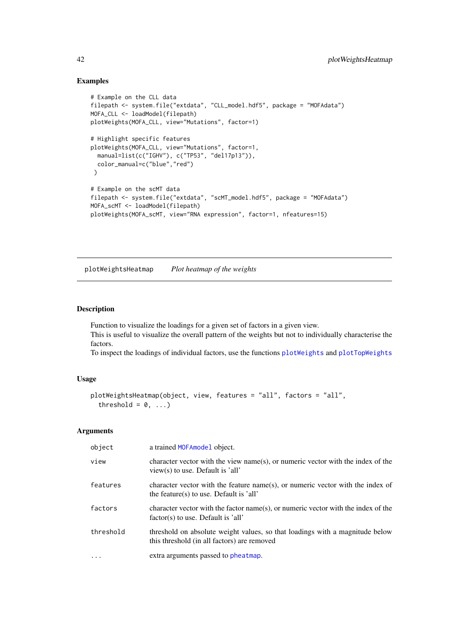# Examples

```
# Example on the CLL data
filepath <- system.file("extdata", "CLL_model.hdf5", package = "MOFAdata")
MOFA_CLL <- loadModel(filepath)
plotWeights(MOFA_CLL, view="Mutations", factor=1)
# Highlight specific features
plotWeights(MOFA_CLL, view="Mutations", factor=1,
 manual=list(c("IGHV"), c("TP53", "del17p13")),
 color_manual=c("blue","red")
)
# Example on the scMT data
filepath <- system.file("extdata", "scMT_model.hdf5", package = "MOFAdata")
MOFA_scMT <- loadModel(filepath)
plotWeights(MOFA_scMT, view="RNA expression", factor=1, nfeatures=15)
```
plotWeightsHeatmap *Plot heatmap of the weights*

# Description

Function to visualize the loadings for a given set of factors in a given view. This is useful to visualize the overall pattern of the weights but not to individually characterise the factors.

To inspect the loadings of individual factors, use the functions [plotWeights](#page-40-1) and [plotTopWeights](#page-38-1)

#### Usage

```
plotWeightsHeatmap(object, view, features = "all", factors = "all",
  threshold = 0, ...)
```
# Arguments

| object    | a trained MOFAmodel object.                                                                                                 |
|-----------|-----------------------------------------------------------------------------------------------------------------------------|
| view      | character vector with the view name(s), or numeric vector with the index of the<br>view(s) to use. Default is 'all'         |
| features  | character vector with the feature name(s), or numeric vector with the index of<br>the feature(s) to use. Default is 'all'   |
| factors   | character vector with the factor name(s), or numeric vector with the index of the<br>factor(s) to use. Default is 'all'     |
| threshold | threshold on absolute weight values, so that loadings with a magnitude below<br>this threshold (in all factors) are removed |
|           | extra arguments passed to pheatmap.                                                                                         |

<span id="page-41-0"></span>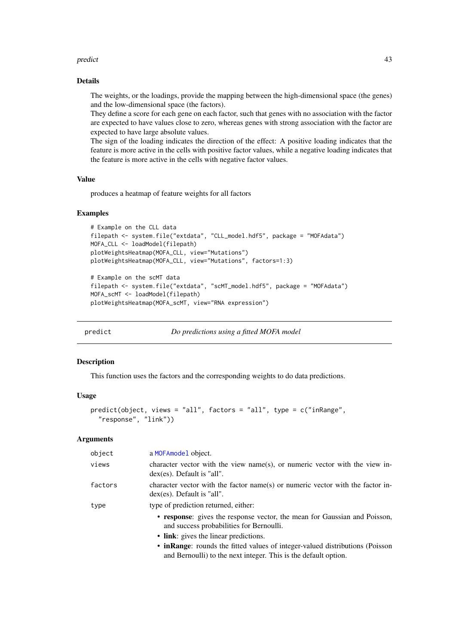#### <span id="page-42-0"></span>predict the contract of the contract of the contract of the contract of the contract of the contract of the contract of the contract of the contract of the contract of the contract of the contract of the contract of the co

#### Details

The weights, or the loadings, provide the mapping between the high-dimensional space (the genes) and the low-dimensional space (the factors).

They define a score for each gene on each factor, such that genes with no association with the factor are expected to have values close to zero, whereas genes with strong association with the factor are expected to have large absolute values.

The sign of the loading indicates the direction of the effect: A positive loading indicates that the feature is more active in the cells with positive factor values, while a negative loading indicates that the feature is more active in the cells with negative factor values.

# Value

produces a heatmap of feature weights for all factors

# Examples

```
# Example on the CLL data
filepath <- system.file("extdata", "CLL_model.hdf5", package = "MOFAdata")
MOFA_CLL <- loadModel(filepath)
plotWeightsHeatmap(MOFA_CLL, view="Mutations")
plotWeightsHeatmap(MOFA_CLL, view="Mutations", factors=1:3)
```

```
# Example on the scMT data
filepath <- system.file("extdata", "scMT_model.hdf5", package = "MOFAdata")
MOFA_scMT <- loadModel(filepath)
plotWeightsHeatmap(MOFA_scMT, view="RNA expression")
```
predict *Do predictions using a fitted MOFA model*

#### Description

This function uses the factors and the corresponding weights to do data predictions.

#### Usage

```
predict(object, views = "all", factors = "all", type = c("inRange",
  "response", "link"))
```
#### Arguments

| object  | a MOFAmodel object.                                                                                                                              |  |
|---------|--------------------------------------------------------------------------------------------------------------------------------------------------|--|
| views   | character vector with the view name(s), or numeric vector with the view in-<br>$dex$ (es). Default is "all".                                     |  |
| factors | character vector with the factor name(s) or numeric vector with the factor in-<br>$dex$ (es). Default is "all".                                  |  |
| type    | type of prediction returned, either:                                                                                                             |  |
|         | • response: gives the response vector, the mean for Gaussian and Poisson,<br>and success probabilities for Bernoulli.                            |  |
|         | • link: gives the linear predictions.                                                                                                            |  |
|         | • in Range: rounds the fitted values of integer-valued distributions (Poisson<br>and Bernoulli) to the next integer. This is the default option. |  |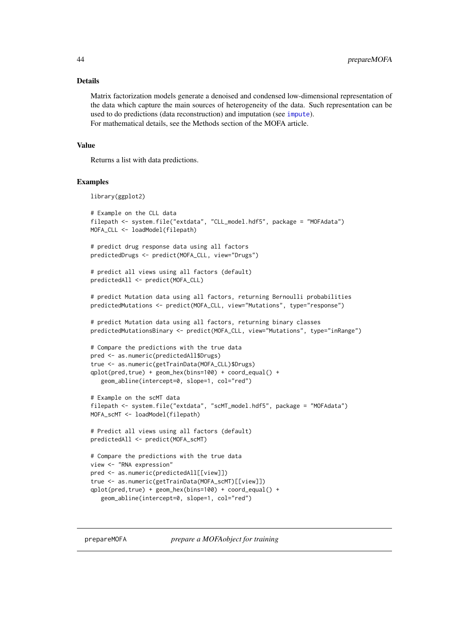#### <span id="page-43-0"></span>Details

Matrix factorization models generate a denoised and condensed low-dimensional representation of the data which capture the main sources of heterogeneity of the data. Such representation can be used to do predictions (data reconstruction) and imputation (see [impute](#page-20-1)). For mathematical details, see the Methods section of the MOFA article.

#### Value

Returns a list with data predictions.

#### Examples

library(ggplot2)

```
# Example on the CLL data
filepath <- system.file("extdata", "CLL_model.hdf5", package = "MOFAdata")
MOFA_CLL <- loadModel(filepath)
# predict drug response data using all factors
predictedDrugs <- predict(MOFA_CLL, view="Drugs")
# predict all views using all factors (default)
predictedAll <- predict(MOFA_CLL)
# predict Mutation data using all factors, returning Bernoulli probabilities
predictedMutations <- predict(MOFA_CLL, view="Mutations", type="response")
# predict Mutation data using all factors, returning binary classes
predictedMutationsBinary <- predict(MOFA_CLL, view="Mutations", type="inRange")
# Compare the predictions with the true data
pred <- as.numeric(predictedAll$Drugs)
true <- as.numeric(getTrainData(MOFA_CLL)$Drugs)
qplot(pred,true) + geom_hex(bins=100) + coord_equal() +
   geom_abline(intercept=0, slope=1, col="red")
# Example on the scMT data
filepath <- system.file("extdata", "scMT_model.hdf5", package = "MOFAdata")
MOFA_scMT <- loadModel(filepath)
# Predict all views using all factors (default)
predictedAll <- predict(MOFA_scMT)
# Compare the predictions with the true data
view <- "RNA expression"
pred <- as.numeric(predictedAll[[view]])
true <- as.numeric(getTrainData(MOFA_scMT)[[view]])
qplot(pred,true) + geom_hex(bins=100) + coord_equal() +
   geom_abline(intercept=0, slope=1, col="red")
```
<span id="page-43-1"></span>prepareMOFA *prepare a MOFAobject for training*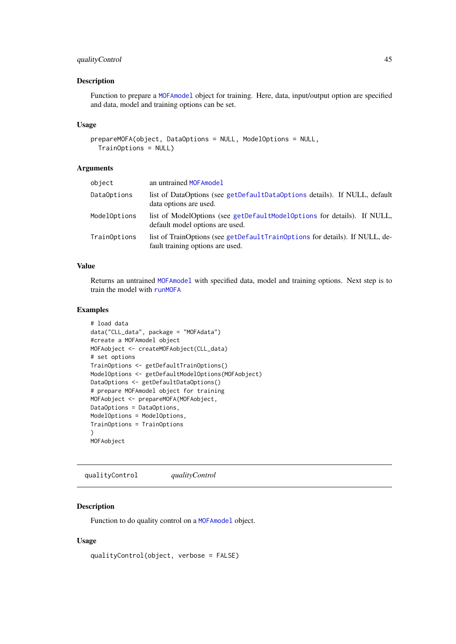#### <span id="page-44-0"></span>qualityControl 45

# Description

Function to prepare a [MOFAmodel](#page-25-1) object for training. Here, data, input/output option are specified and data, model and training options can be set.

# Usage

```
prepareMOFA(object, DataOptions = NULL, ModelOptions = NULL,
 TrainOptions = NULL)
```
# Arguments

| object       | an untrained MOFAmodel                                                                                          |
|--------------|-----------------------------------------------------------------------------------------------------------------|
| DataOptions  | list of DataOptions (see getDefaultDataOptions details). If NULL, default<br>data options are used.             |
| ModelOptions | list of ModelOptions (see getDefaultModelOptions for details). If NULL,<br>default model options are used.      |
| TrainOptions | list of TrainOptions (see getDefaultTrainOptions for details). If NULL, de-<br>fault training options are used. |

# Value

Returns an untrained [MOFAmodel](#page-25-1) with specified data, model and training options. Next step is to train the model with [runMOFA](#page-48-1)

# Examples

```
# load data
data("CLL_data", package = "MOFAdata")
#create a MOFAmodel object
MOFAobject <- createMOFAobject(CLL_data)
# set options
TrainOptions <- getDefaultTrainOptions()
ModelOptions <- getDefaultModelOptions(MOFAobject)
DataOptions <- getDefaultDataOptions()
# prepare MOFAmodel object for training
MOFAobject <- prepareMOFA(MOFAobject,
DataOptions = DataOptions,
ModelOptions = ModelOptions,
TrainOptions = TrainOptions
)
MOFAobject
```
qualityControl *qualityControl*

### Description

Function to do quality control on a [MOFAmodel](#page-25-1) object.

# Usage

```
qualityControl(object, verbose = FALSE)
```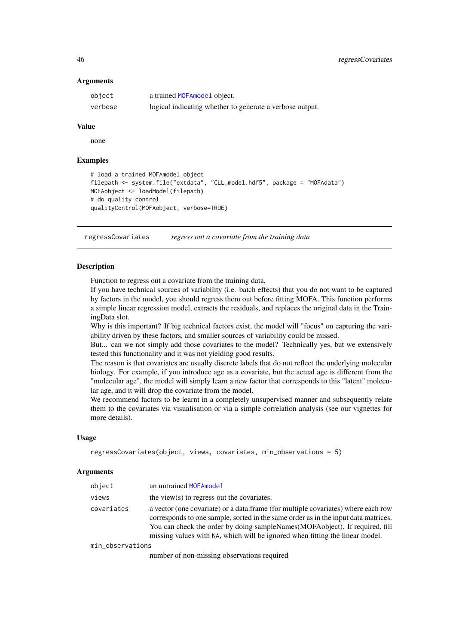#### <span id="page-45-0"></span>Arguments

| object  | a trained MOFA model object.                             |
|---------|----------------------------------------------------------|
| verbose | logical indicating whether to generate a verbose output. |

# Value

none

# Examples

```
# load a trained MOFAmodel object
filepath <- system.file("extdata", "CLL_model.hdf5", package = "MOFAdata")
MOFAobject <- loadModel(filepath)
# do quality control
qualityControl(MOFAobject, verbose=TRUE)
```
regressCovariates *regress out a covariate from the training data*

# Description

Function to regress out a covariate from the training data.

If you have technical sources of variability (i.e. batch effects) that you do not want to be captured by factors in the model, you should regress them out before fitting MOFA. This function performs a simple linear regression model, extracts the residuals, and replaces the original data in the TrainingData slot.

Why is this important? If big technical factors exist, the model will "focus" on capturing the variability driven by these factors, and smaller sources of variability could be missed.

But... can we not simply add those covariates to the model? Technically yes, but we extensively tested this functionality and it was not yielding good results.

The reason is that covariates are usually discrete labels that do not reflect the underlying molecular biology. For example, if you introduce age as a covariate, but the actual age is different from the "molecular age", the model will simply learn a new factor that corresponds to this "latent" molecular age, and it will drop the covariate from the model.

We recommend factors to be learnt in a completely unsupervised manner and subsequently relate them to the covariates via visualisation or via a simple correlation analysis (see our vignettes for more details).

#### Usage

```
regressCovariates(object, views, covariates, min_observations = 5)
```
#### Arguments

| object     | an untrained MOFAmodel                                                                                                                                                                                                                                                                                                                 |  |
|------------|----------------------------------------------------------------------------------------------------------------------------------------------------------------------------------------------------------------------------------------------------------------------------------------------------------------------------------------|--|
| views      | the view( $s$ ) to regress out the covariates.                                                                                                                                                                                                                                                                                         |  |
| covariates | a vector (one covariate) or a data frame (for multiple covariates) where each row<br>corresponds to one sample, sorted in the same order as in the input data matrices.<br>You can check the order by doing sampleNames(MOFAobject). If required, fill<br>missing values with NA, which will be ignored when fitting the linear model. |  |
|            |                                                                                                                                                                                                                                                                                                                                        |  |

min\_observations

number of non-missing observations required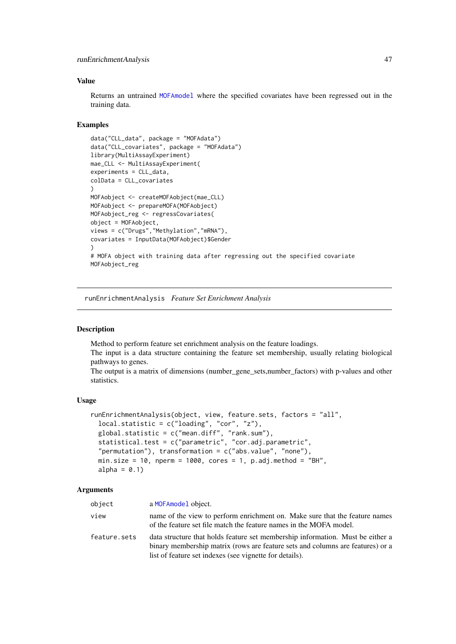#### <span id="page-46-0"></span>runEnrichmentAnalysis 47

#### Value

Returns an untrained [MOFAmodel](#page-25-1) where the specified covariates have been regressed out in the training data.

# Examples

```
data("CLL_data", package = "MOFAdata")
data("CLL_covariates", package = "MOFAdata")
library(MultiAssayExperiment)
mae_CLL <- MultiAssayExperiment(
experiments = CLL_data,
colData = CLL_covariates
)
MOFAobject <- createMOFAobject(mae_CLL)
MOFAobject <- prepareMOFA(MOFAobject)
MOFAobject_reg <- regressCovariates(
object = MOFAobject,
views = c("Drugs","Methylation","mRNA"),
covariates = InputData(MOFAobject)$Gender
\lambda# MOFA object with training data after regressing out the specified covariate
MOFAobject_reg
```
<span id="page-46-1"></span>runEnrichmentAnalysis *Feature Set Enrichment Analysis*

# Description

Method to perform feature set enrichment analysis on the feature loadings. The input is a data structure containing the feature set membership, usually relating biological pathways to genes.

The output is a matrix of dimensions (number gene sets,number factors) with p-values and other statistics.

# Usage

```
runEnrichmentAnalysis(object, view, feature.sets, factors = "all",
 local statistic = c("loading", "cor", "z"),
 global.statistic = c("mean.diff", "rank.sum"),
 statistical.test = c("parametric", "cor.adj.parametric",
  "permutation"), transformation = c("abs.value", "none"),
 min.size = 10, nperm = 1000, cores = 1, p.adj.method = "BH",
 alpha = 0.1)
```
# Arguments

| object       | a MOFAmodel object.                                                                                                                                                                                                         |
|--------------|-----------------------------------------------------------------------------------------------------------------------------------------------------------------------------------------------------------------------------|
| view         | name of the view to perform enrichment on. Make sure that the feature names<br>of the feature set file match the feature names in the MOFA model.                                                                           |
| feature.sets | data structure that holds feature set membership information. Must be either a<br>binary membership matrix (rows are feature sets and columns are features) or a<br>list of feature set indexes (see vignette for details). |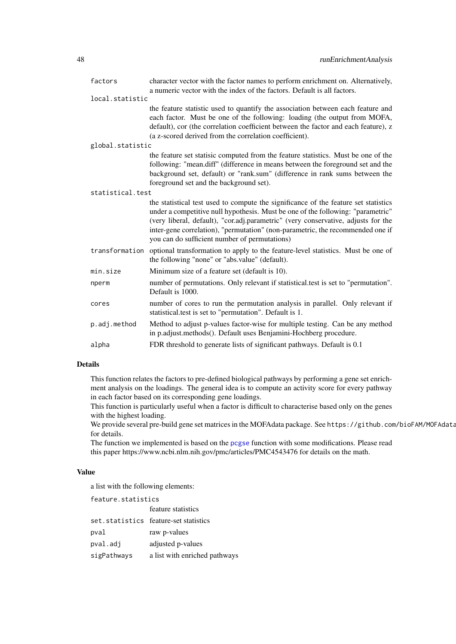<span id="page-47-0"></span>

| factors          | character vector with the factor names to perform enrichment on. Alternatively,<br>a numeric vector with the index of the factors. Default is all factors.                                                                                                                                                                                                                                     |  |  |
|------------------|------------------------------------------------------------------------------------------------------------------------------------------------------------------------------------------------------------------------------------------------------------------------------------------------------------------------------------------------------------------------------------------------|--|--|
| local.statistic  |                                                                                                                                                                                                                                                                                                                                                                                                |  |  |
|                  | the feature statistic used to quantify the association between each feature and<br>each factor. Must be one of the following: loading (the output from MOFA,<br>default), cor (the correlation coefficient between the factor and each feature), z<br>(a z-scored derived from the correlation coefficient).                                                                                   |  |  |
| global.statistic |                                                                                                                                                                                                                                                                                                                                                                                                |  |  |
|                  | the feature set statisic computed from the feature statistics. Must be one of the<br>following: "mean.diff" (difference in means between the foreground set and the<br>background set, default) or "rank.sum" (difference in rank sums between the<br>foreground set and the background set).                                                                                                  |  |  |
| statistical.test |                                                                                                                                                                                                                                                                                                                                                                                                |  |  |
|                  | the statistical test used to compute the significance of the feature set statistics<br>under a competitive null hypothesis. Must be one of the following: "parametric"<br>(very liberal, default), "cor.adj.parametric" (very conservative, adjusts for the<br>inter-gene correlation), "permutation" (non-parametric, the recommended one if<br>you can do sufficient number of permutations) |  |  |
| transformation   | optional transformation to apply to the feature-level statistics. Must be one of<br>the following "none" or "abs.value" (default).                                                                                                                                                                                                                                                             |  |  |
| min.size         | Minimum size of a feature set (default is 10).                                                                                                                                                                                                                                                                                                                                                 |  |  |
| nperm            | number of permutations. Only relevant if statistical test is set to "permutation".<br>Default is 1000.                                                                                                                                                                                                                                                                                         |  |  |
| cores            | number of cores to run the permutation analysis in parallel. Only relevant if<br>statistical.test is set to "permutation". Default is 1.                                                                                                                                                                                                                                                       |  |  |
| p.adj.method     | Method to adjust p-values factor-wise for multiple testing. Can be any method<br>in p.adjust.methods(). Default uses Benjamini-Hochberg procedure.                                                                                                                                                                                                                                             |  |  |
| alpha            | FDR threshold to generate lists of significant pathways. Default is 0.1                                                                                                                                                                                                                                                                                                                        |  |  |

# Details

This function relates the factors to pre-defined biological pathways by performing a gene set enrichment analysis on the loadings. The general idea is to compute an activity score for every pathway in each factor based on its corresponding gene loadings.

This function is particularly useful when a factor is difficult to characterise based only on the genes with the highest loading.

We provide several pre-build gene set matrices in the MOFAdata package. See https://github.com/bioFAM/MOFAdata for details.

The function we implemented is based on the [pcgse](#page-0-0) function with some modifications. Please read this paper https://www.ncbi.nlm.nih.gov/pmc/articles/PMC4543476 for details on the math.

# Value

a list with the following elements:

| feature.statistics |                                       |  |
|--------------------|---------------------------------------|--|
|                    | feature statistics                    |  |
|                    | set.statistics feature-set statistics |  |
| pval               | raw p-values                          |  |
| pval.adj           | adjusted p-values                     |  |
| sigPathways        | a list with enriched pathways         |  |
|                    |                                       |  |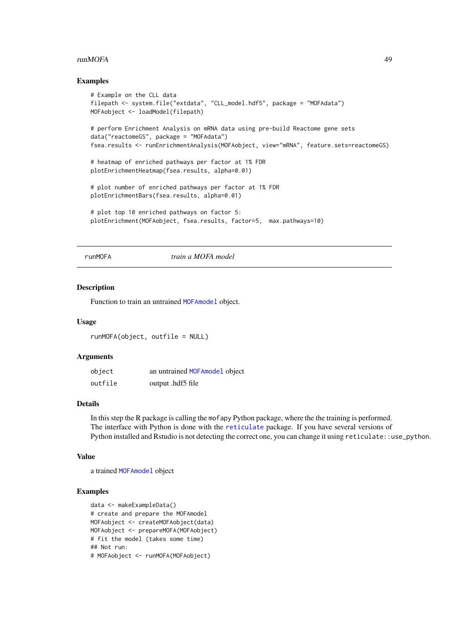#### <span id="page-48-0"></span>runMOFA  $\sim$  49

#### Examples

```
# Example on the CLL data
filepath <- system.file("extdata", "CLL_model.hdf5", package = "MOFAdata")
MOFAobject <- loadModel(filepath)
# perform Enrichment Analysis on mRNA data using pre-build Reactome gene sets
data("reactomeGS", package = "MOFAdata")
fsea.results <- runEnrichmentAnalysis(MOFAobject, view="mRNA", feature.sets=reactomeGS)
# heatmap of enriched pathways per factor at 1% FDR
plotEnrichmentHeatmap(fsea.results, alpha=0.01)
# plot number of enriched pathways per factor at 1% FDR
plotEnrichmentBars(fsea.results, alpha=0.01)
# plot top 10 enriched pathways on factor 5:
plotEnrichment(MOFAobject, fsea.results, factor=5, max.pathways=10)
```
runMOFA *train a MOFA model*

#### Description

Function to train an untrained [MOFAmodel](#page-25-1) object.

# Usage

runMOFA(object, outfile = NULL)

#### Arguments

| object  | an untrained MOFAmodel object |
|---------|-------------------------------|
| outfile | output .hdf5 file             |

#### Details

In this step the R package is calling the mofapy Python package, where the the training is performed. The interface with Python is done with the [reticulate](#page-0-0) package. If you have several versions of Python installed and Rstudio is not detecting the correct one, you can change it using reticulate::use\_python.

#### Value

a trained [MOFAmodel](#page-25-1) object

```
data <- makeExampleData()
# create and prepare the MOFAmodel
MOFAobject <- createMOFAobject(data)
MOFAobject <- prepareMOFA(MOFAobject)
# fit the model (takes some time)
## Not run:
# MOFAobject <- runMOFA(MOFAobject)
```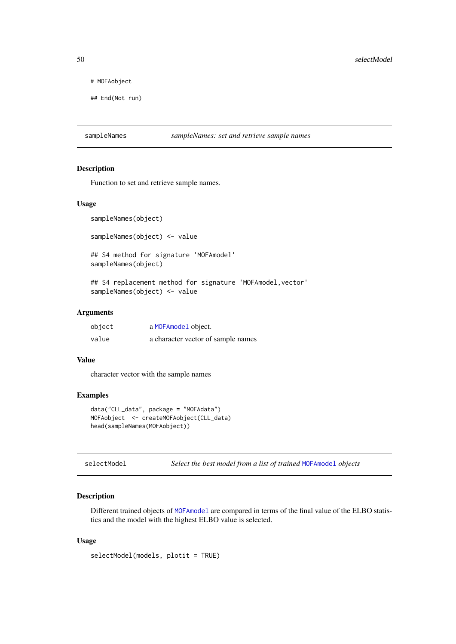# MOFAobject

## End(Not run)

#### Description

Function to set and retrieve sample names.

#### Usage

```
sampleNames(object)
```
sampleNames(object) <- value

## S4 method for signature 'MOFAmodel' sampleNames(object)

## S4 replacement method for signature 'MOFAmodel, vector' sampleNames(object) <- value

#### Arguments

| object | a MOFAmodel object.                |
|--------|------------------------------------|
| value  | a character vector of sample names |

#### Value

character vector with the sample names

#### Examples

```
data("CLL_data", package = "MOFAdata")
MOFAobject <- createMOFAobject(CLL_data)
head(sampleNames(MOFAobject))
```
selectModel *Select the best model from a list of trained* [MOFAmodel](#page-25-1) *objects*

#### Description

Different trained objects of [MOFAmodel](#page-25-1) are compared in terms of the final value of the ELBO statistics and the model with the highest ELBO value is selected.

# Usage

```
selectModel(models, plotit = TRUE)
```
<span id="page-49-0"></span>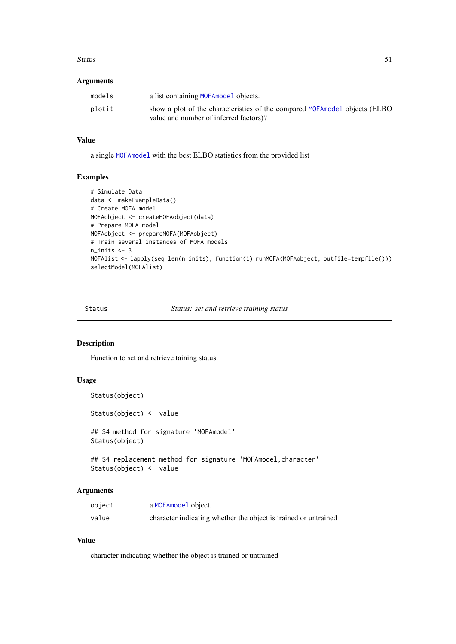#### <span id="page-50-0"></span>Status 51

# Arguments

| models | a list containing MOFA model objects.                                                                                  |
|--------|------------------------------------------------------------------------------------------------------------------------|
| plotit | show a plot of the characteristics of the compared MOFA model objects (ELBO)<br>value and number of inferred factors)? |

# Value

a single [MOFAmodel](#page-25-1) with the best ELBO statistics from the provided list

# Examples

```
# Simulate Data
data <- makeExampleData()
# Create MOFA model
MOFAobject <- createMOFAobject(data)
# Prepare MOFA model
MOFAobject <- prepareMOFA(MOFAobject)
# Train several instances of MOFA models
n_inits <- 3
MOFAlist <- lapply(seq_len(n_inits), function(i) runMOFA(MOFAobject, outfile=tempfile()))
selectModel(MOFAlist)
```
Status *Status: set and retrieve training status*

# Description

Function to set and retrieve taining status.

# Usage

```
Status(object)
Status(object) <- value
## S4 method for signature 'MOFAmodel'
Status(object)
## S4 replacement method for signature 'MOFAmodel, character'
```

```
Status(object) <- value
```
# Arguments

| object | a MOFAmodel object.                                             |
|--------|-----------------------------------------------------------------|
| value  | character indicating whether the object is trained or untrained |

# Value

character indicating whether the object is trained or untrained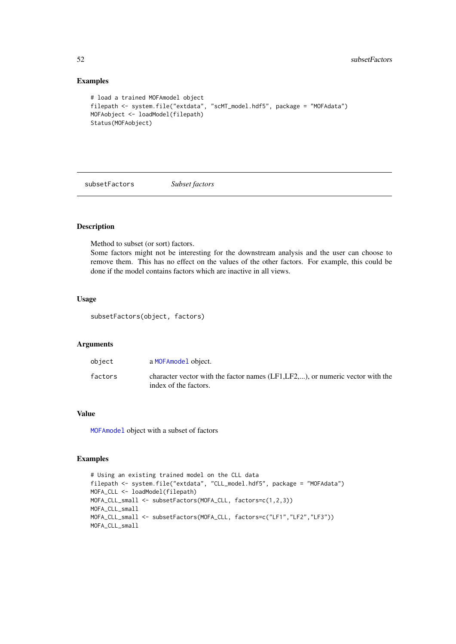# Examples

```
# load a trained MOFAmodel object
filepath <- system.file("extdata", "scMT_model.hdf5", package = "MOFAdata")
MOFAobject <- loadModel(filepath)
Status(MOFAobject)
```
<span id="page-51-1"></span>subsetFactors *Subset factors*

# Description

Method to subset (or sort) factors.

Some factors might not be interesting for the downstream analysis and the user can choose to remove them. This has no effect on the values of the other factors. For example, this could be done if the model contains factors which are inactive in all views.

# Usage

subsetFactors(object, factors)

#### Arguments

| object  | a MOFAmodel object.                                                                                       |
|---------|-----------------------------------------------------------------------------------------------------------|
| factors | character vector with the factor names $(LF1,LF2,)$ , or numeric vector with the<br>index of the factors. |

# Value

[MOFAmodel](#page-25-1) object with a subset of factors

```
# Using an existing trained model on the CLL data
filepath <- system.file("extdata", "CLL_model.hdf5", package = "MOFAdata")
MOFA_CLL <- loadModel(filepath)
MOFA_CLL_small <- subsetFactors(MOFA_CLL, factors=c(1,2,3))
MOFA_CLL_small
MOFA_CLL_small <- subsetFactors(MOFA_CLL, factors=c("LF1","LF2","LF3"))
MOFA_CLL_small
```
<span id="page-51-0"></span>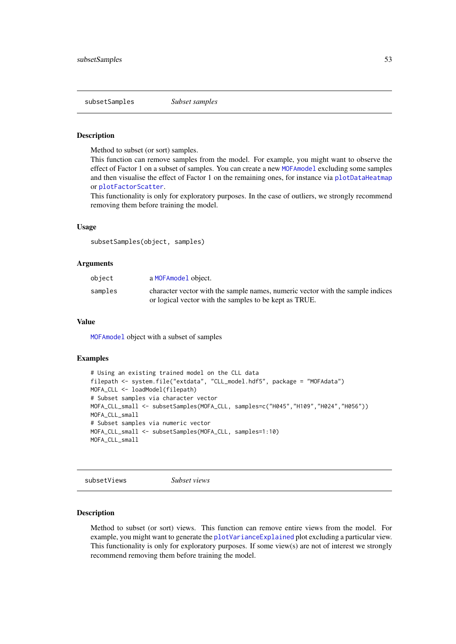<span id="page-52-0"></span>subsetSamples *Subset samples*

#### Description

Method to subset (or sort) samples.

This function can remove samples from the model. For example, you might want to observe the effect of Factor 1 on a subset of samples. You can create a new [MOFAmodel](#page-25-1) excluding some samples and then visualise the effect of Factor 1 on the remaining ones, for instance via [plotDataHeatmap](#page-26-1) or [plotFactorScatter](#page-36-1).

This functionality is only for exploratory purposes. In the case of outliers, we strongly recommend removing them before training the model.

#### Usage

subsetSamples(object, samples)

#### Arguments

| object  | a MOFAmodel object.                                                            |
|---------|--------------------------------------------------------------------------------|
| samples | character vector with the sample names, numeric vector with the sample indices |
|         | or logical vector with the samples to be kept as TRUE.                         |

# Value

[MOFAmodel](#page-25-1) object with a subset of samples

# Examples

```
# Using an existing trained model on the CLL data
filepath <- system.file("extdata", "CLL_model.hdf5", package = "MOFAdata")
MOFA_CLL <- loadModel(filepath)
# Subset samples via character vector
MOFA_CLL_small <- subsetSamples(MOFA_CLL, samples=c("H045","H109","H024","H056"))
MOFA_CLL_small
# Subset samples via numeric vector
MOFA_CLL_small <- subsetSamples(MOFA_CLL, samples=1:10)
MOFA_CLL_small
```
subsetViews *Subset views*

#### Description

Method to subset (or sort) views. This function can remove entire views from the model. For example, you might want to generate the [plotVarianceExplained](#page-39-1) plot excluding a particular view. This functionality is only for exploratory purposes. If some view(s) are not of interest we strongly recommend removing them before training the model.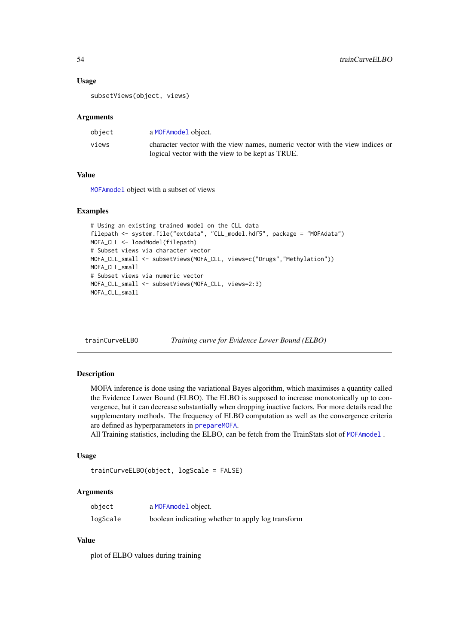#### Usage

subsetViews(object, views)

#### Arguments

| object | a MOFAmodel object.                                                           |
|--------|-------------------------------------------------------------------------------|
| views  | character vector with the view names, numeric vector with the view indices or |
|        | logical vector with the view to be kept as TRUE.                              |

# Value

[MOFAmodel](#page-25-1) object with a subset of views

# Examples

```
# Using an existing trained model on the CLL data
filepath <- system.file("extdata", "CLL_model.hdf5", package = "MOFAdata")
MOFA_CLL <- loadModel(filepath)
# Subset views via character vector
MOFA_CLL_small <- subsetViews(MOFA_CLL, views=c("Drugs","Methylation"))
MOFA_CLL_small
# Subset views via numeric vector
MOFA_CLL_small <- subsetViews(MOFA_CLL, views=2:3)
MOFA_CLL_small
```
trainCurveELBO *Training curve for Evidence Lower Bound (ELBO)*

# Description

MOFA inference is done using the variational Bayes algorithm, which maximises a quantity called the Evidence Lower Bound (ELBO). The ELBO is supposed to increase monotonically up to convergence, but it can decrease substantially when dropping inactive factors. For more details read the supplementary methods. The frequency of ELBO computation as well as the convergence criteria are defined as hyperparameters in [prepareMOFA](#page-43-1).

All Training statistics, including the ELBO, can be fetch from the TrainStats slot of [MOFAmodel](#page-25-1) .

# Usage

```
trainCurveELBO(object, logScale = FALSE)
```
#### Arguments

| object   | a MOFAmodel object.                               |
|----------|---------------------------------------------------|
| logScale | boolean indicating whether to apply log transform |

# Value

plot of ELBO values during training

<span id="page-53-0"></span>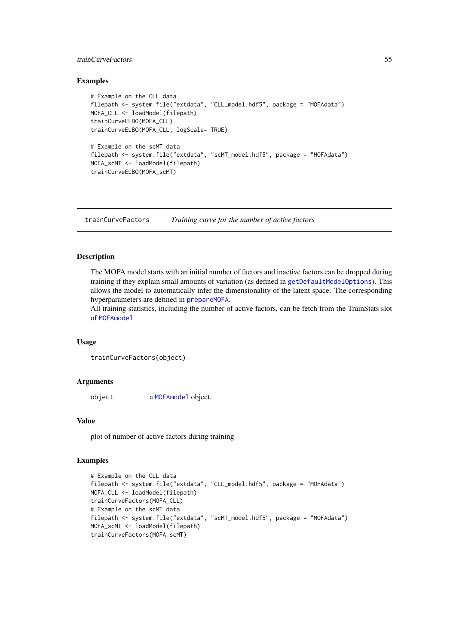#### <span id="page-54-0"></span>trainCurveFactors 55

#### Examples

```
# Example on the CLL data
filepath <- system.file("extdata", "CLL_model.hdf5", package = "MOFAdata")
MOFA_CLL <- loadModel(filepath)
trainCurveELBO(MOFA_CLL)
trainCurveELBO(MOFA_CLL, logScale= TRUE)
# Example on the scMT data
filepath <- system.file("extdata", "scMT_model.hdf5", package = "MOFAdata")
MOFA_scMT <- loadModel(filepath)
trainCurveELBO(MOFA_scMT)
```
trainCurveFactors *Training curve for the number of active factors*

#### Description

The MOFA model starts with an initial number of factors and inactive factors can be dropped during training if they explain small amounts of variation (as defined in [getDefaultModelOptions](#page-13-1)). This allows the model to automatically infer the dimensionality of the latent space. The corresponding hyperparameters are defined in [prepareMOFA](#page-43-1).

All training statistics, including the number of active factors, can be fetch from the TrainStats slot of [MOFAmodel](#page-25-1) .

# Usage

```
trainCurveFactors(object)
```
#### Arguments

object a [MOFAmodel](#page-25-1) object.

#### Value

plot of number of active factors during training

```
# Example on the CLL data
filepath <- system.file("extdata", "CLL_model.hdf5", package = "MOFAdata")
MOFA_CLL <- loadModel(filepath)
trainCurveFactors(MOFA_CLL)
# Example on the scMT data
filepath <- system.file("extdata", "scMT_model.hdf5", package = "MOFAdata")
MOFA_scMT <- loadModel(filepath)
trainCurveFactors(MOFA_scMT)
```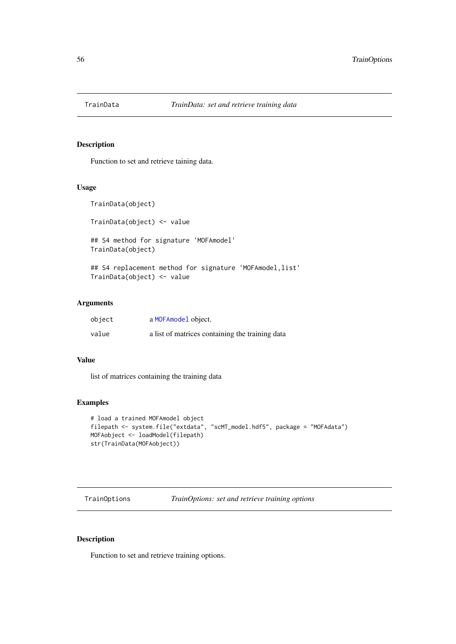<span id="page-55-0"></span>

# Description

Function to set and retrieve taining data.

# Usage

TrainData(object)

TrainData(object) <- value

## S4 method for signature 'MOFAmodel' TrainData(object)

## S4 replacement method for signature 'MOFAmodel, list' TrainData(object) <- value

# Arguments

| object | a MOFAmodel object.                             |
|--------|-------------------------------------------------|
| value  | a list of matrices containing the training data |

#### Value

list of matrices containing the training data

# Examples

```
# load a trained MOFAmodel object
filepath <- system.file("extdata", "scMT_model.hdf5", package = "MOFAdata")
MOFAobject <- loadModel(filepath)
str(TrainData(MOFAobject))
```
TrainOptions *TrainOptions: set and retrieve training options*

# Description

Function to set and retrieve training options.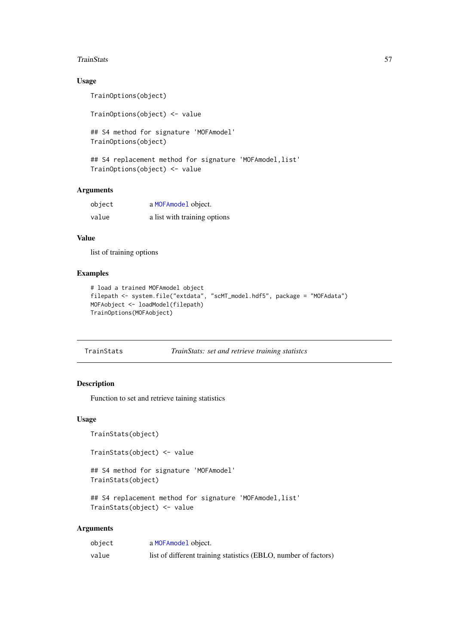#### <span id="page-56-0"></span>TrainStats 57

# Usage

```
TrainOptions(object)
TrainOptions(object) <- value
## S4 method for signature 'MOFAmodel'
TrainOptions(object)
```

```
## S4 replacement method for signature 'MOFAmodel, list'
TrainOptions(object) <- value
```
# Arguments

| object | a MOFAmodel object.          |
|--------|------------------------------|
| value  | a list with training options |

# Value

list of training options

# Examples

```
# load a trained MOFAmodel object
filepath <- system.file("extdata", "scMT_model.hdf5", package = "MOFAdata")
MOFAobject <- loadModel(filepath)
TrainOptions(MOFAobject)
```

| TrainStats |  | TrainStats: set and retrieve training statistcs |  |  |
|------------|--|-------------------------------------------------|--|--|
|------------|--|-------------------------------------------------|--|--|

# Description

Function to set and retrieve taining statistics

# Usage

```
TrainStats(object)
```

```
TrainStats(object) <- value
```
## S4 method for signature 'MOFAmodel' TrainStats(object)

```
## S4 replacement method for signature 'MOFAmodel, list'
TrainStats(object) <- value
```
#### Arguments

| object | a MOFAmodel object.                                             |
|--------|-----------------------------------------------------------------|
| value  | list of different training statistics (EBLO, number of factors) |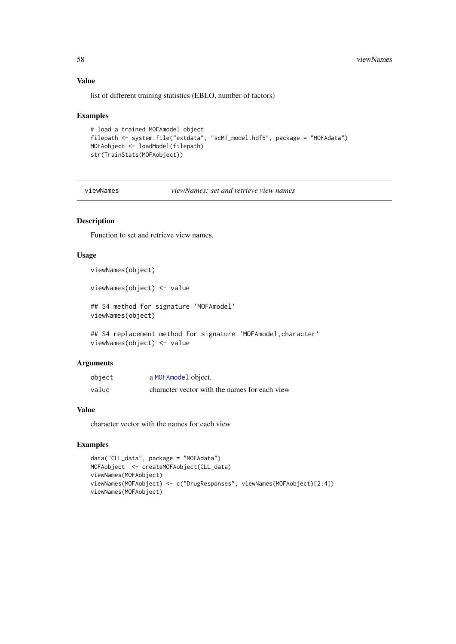# Value

list of different training statistics (EBLO, number of factors)

#### Examples

```
# load a trained MOFAmodel object
filepath <- system.file("extdata", "scMT_model.hdf5", package = "MOFAdata")
MOFAobject <- loadModel(filepath)
str(TrainStats(MOFAobject))
```
viewNames *viewNames: set and retrieve view names*

#### Description

Function to set and retrieve view names.

# Usage

viewNames(object)

viewNames(object) <- value

## S4 method for signature 'MOFAmodel' viewNames(object)

## S4 replacement method for signature 'MOFAmodel, character' viewNames(object) <- value

# Arguments

| object | a MOFAmodel object.                           |
|--------|-----------------------------------------------|
| value  | character vector with the names for each view |

# Value

character vector with the names for each view

```
data("CLL_data", package = "MOFAdata")
MOFAobject <- createMOFAobject(CLL_data)
viewNames(MOFAobject)
viewNames(MOFAobject) <- c("DrugResponses", viewNames(MOFAobject)[2:4])
viewNames(MOFAobject)
```
<span id="page-57-0"></span>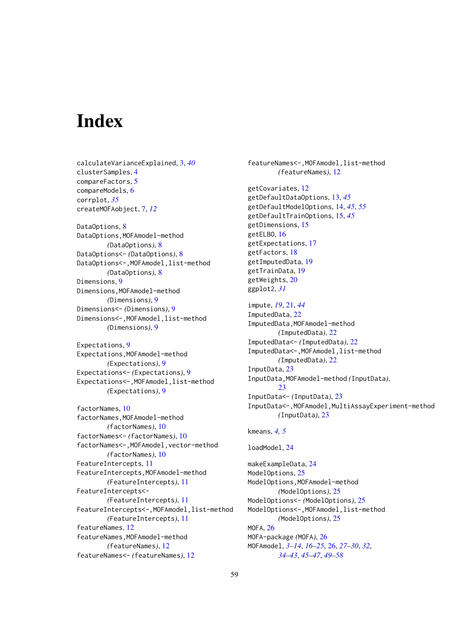# <span id="page-58-0"></span>Index

calculateVarianceExplained, [3,](#page-2-0) *[40](#page-39-0)* clusterSamples, [4](#page-3-0) compareFactors, [5](#page-4-0) compareModels, [6](#page-5-0) corrplot, *[35](#page-34-0)* createMOFAobject, [7,](#page-6-0) *[12](#page-11-0)* DataOptions, [8](#page-7-0) DataOptions,MOFAmodel-method *(*DataOptions*)*, [8](#page-7-0) DataOptions<- *(*DataOptions*)*, [8](#page-7-0) DataOptions<-,MOFAmodel,list-method *(*DataOptions*)*, [8](#page-7-0) Dimensions, [9](#page-8-0) Dimensions,MOFAmodel-method *(*Dimensions*)*, [9](#page-8-0) Dimensions<- *(*Dimensions*)*, [9](#page-8-0) Dimensions<-,MOFAmodel,list-method *(*Dimensions*)*, [9](#page-8-0) Expectations, [9](#page-8-0) Expectations,MOFAmodel-method *(*Expectations*)*, [9](#page-8-0) Expectations<- *(*Expectations*)*, [9](#page-8-0) Expectations<-,MOFAmodel,list-method *(*Expectations*)*, [9](#page-8-0) factorNames, [10](#page-9-0) factorNames,MOFAmodel-method *(*factorNames*)*, [10](#page-9-0) factorNames<- *(*factorNames*)*, [10](#page-9-0) factorNames<-,MOFAmodel,vector-method *(*factorNames*)*, [10](#page-9-0) FeatureIntercepts, [11](#page-10-0) FeatureIntercepts,MOFAmodel-method *(*FeatureIntercepts*)*, [11](#page-10-0) FeatureIntercepts<- *(*FeatureIntercepts*)*, [11](#page-10-0) FeatureIntercepts<-,MOFAmodel,list-method *(*FeatureIntercepts*)*, [11](#page-10-0) featureNames, [12](#page-11-0) featureNames,MOFAmodel-method *(*featureNames*)*, [12](#page-11-0) featureNames<- *(*featureNames*)*, [12](#page-11-0)

featureNames<-,MOFAmodel,list-method *(*featureNames*)*, [12](#page-11-0) getCovariates, [12](#page-11-0) getDefaultDataOptions, [13,](#page-12-0) *[45](#page-44-0)* getDefaultModelOptions, [14,](#page-13-0) *[45](#page-44-0)*, *[55](#page-54-0)* getDefaultTrainOptions, [15,](#page-14-0) *[45](#page-44-0)* getDimensions, [15](#page-14-0) getELBO, [16](#page-15-0) getExpectations, [17](#page-16-0) getFactors, [18](#page-17-0) getImputedData, [19](#page-18-0) getTrainData, [19](#page-18-0) getWeights, [20](#page-19-0) ggplot2, *[31](#page-30-0)* impute, *[19](#page-18-0)*, [21,](#page-20-0) *[44](#page-43-0)* ImputedData, [22](#page-21-0) ImputedData,MOFAmodel-method *(*ImputedData*)*, [22](#page-21-0) ImputedData<- *(*ImputedData*)*, [22](#page-21-0) ImputedData<-,MOFAmodel,list-method *(*ImputedData*)*, [22](#page-21-0) InputData, [23](#page-22-0) InputData,MOFAmodel-method *(*InputData*)*, [23](#page-22-0) InputData<- *(*InputData*)*, [23](#page-22-0) InputData<-,MOFAmodel,MultiAssayExperiment-method *(*InputData*)*, [23](#page-22-0) kmeans, *[4,](#page-3-0) [5](#page-4-0)* loadModel, [24](#page-23-0) makeExampleData, [24](#page-23-0) ModelOptions, [25](#page-24-0) ModelOptions,MOFAmodel-method *(*ModelOptions*)*, [25](#page-24-0) ModelOptions<- *(*ModelOptions*)*, [25](#page-24-0) ModelOptions<-,MOFAmodel,list-method *(*ModelOptions*)*, [25](#page-24-0) MOFA, [26](#page-25-0) MOFA-package *(*MOFA*)*, [26](#page-25-0) MOFAmodel, *[3](#page-2-0)[–14](#page-13-0)*, *[16](#page-15-0)[–25](#page-24-0)*, [26,](#page-25-0) *[27](#page-26-0)[–30](#page-29-0)*, *[32](#page-31-0)*,

*[34](#page-33-0)[–43](#page-42-0)*, *[45](#page-44-0)[–47](#page-46-0)*, *[49](#page-48-0)[–58](#page-57-0)*